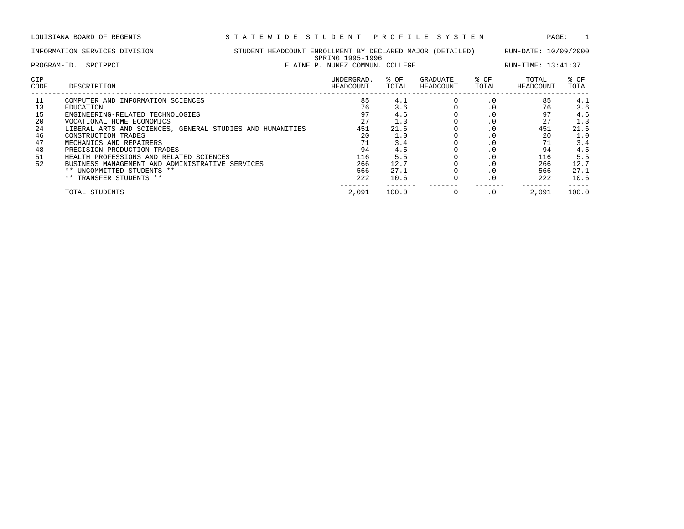LOUISIANA BOARD OF REGENTS S T A T E W I D E S T U D E N T P R O F I L E S Y S T E M PAGE: 1

|                                                          | INFORMATION SERVICES DIVISION<br>STUDENT HEADCOUNT ENROLLMENT BY DECLARED MAJOR (DETAILED)<br>SPRING 1995-1996<br>ELAINE P. NUNEZ COMMUN. COLLEGE<br>PROGRAM-ID.<br>SPCIPPCT                                                                                                                                                                                                                                         |  |                                                                           |                                                                                      |                       |                                                                                                                                                          | RUN-DATE: 10/09/2000<br>RUN-TIME: 13:41:37                          |                                                                                      |  |
|----------------------------------------------------------|----------------------------------------------------------------------------------------------------------------------------------------------------------------------------------------------------------------------------------------------------------------------------------------------------------------------------------------------------------------------------------------------------------------------|--|---------------------------------------------------------------------------|--------------------------------------------------------------------------------------|-----------------------|----------------------------------------------------------------------------------------------------------------------------------------------------------|---------------------------------------------------------------------|--------------------------------------------------------------------------------------|--|
| CIP<br>CODE                                              | DESCRIPTION                                                                                                                                                                                                                                                                                                                                                                                                          |  | UNDERGRAD.<br>HEADCOUNT                                                   | % OF<br>TOTAL                                                                        | GRADUATE<br>HEADCOUNT | % OF<br>TOTAL                                                                                                                                            | TOTAL<br>HEADCOUNT                                                  | % OF<br>TOTAL                                                                        |  |
| 11<br>13<br>15<br>20<br>24<br>46<br>47<br>48<br>51<br>52 | COMPUTER AND INFORMATION SCIENCES<br>EDUCATION<br>ENGINEERING-RELATED TECHNOLOGIES<br>VOCATIONAL HOME ECONOMICS<br>LIBERAL ARTS AND SCIENCES, GENERAL STUDIES AND HUMANITIES<br>CONSTRUCTION TRADES<br>MECHANICS AND REPAIRERS<br>PRECISION PRODUCTION TRADES<br>HEALTH PROFESSIONS AND RELATED SCIENCES<br>BUSINESS MANAGEMENT AND ADMINISTRATIVE SERVICES<br>** UNCOMMITTED STUDENTS **<br>** TRANSFER STUDENTS ** |  | 85<br>76<br>97<br>27<br>451<br>20<br>71<br>94<br>116<br>266<br>566<br>222 | 4.1<br>3.6<br>4.6<br>1.3<br>21.6<br>1.0<br>3.4<br>4.5<br>5.5<br>12.7<br>27.1<br>10.6 |                       | $\cdot$ 0<br>$\cdot$ 0<br>$\cdot$ 0<br>$\cdot$ 0<br>$\cdot$ 0<br>$\cdot$ 0<br>$\cdot$ 0<br>$\cdot$ 0<br>$\cdot$ 0<br>$\cdot$ 0<br>$\cdot$ 0<br>$\cdot$ 0 | 85<br>76<br>97<br>27<br>451<br>20<br>94<br>116<br>266<br>566<br>222 | 4.1<br>3.6<br>4.6<br>1.3<br>21.6<br>1.0<br>3.4<br>4.5<br>5.5<br>12.7<br>27.1<br>10.6 |  |
|                                                          | TOTAL STUDENTS                                                                                                                                                                                                                                                                                                                                                                                                       |  | 2,091                                                                     | 100.0                                                                                | $\Omega$              | $\cdot$ 0                                                                                                                                                | 2,091                                                               | 100.0                                                                                |  |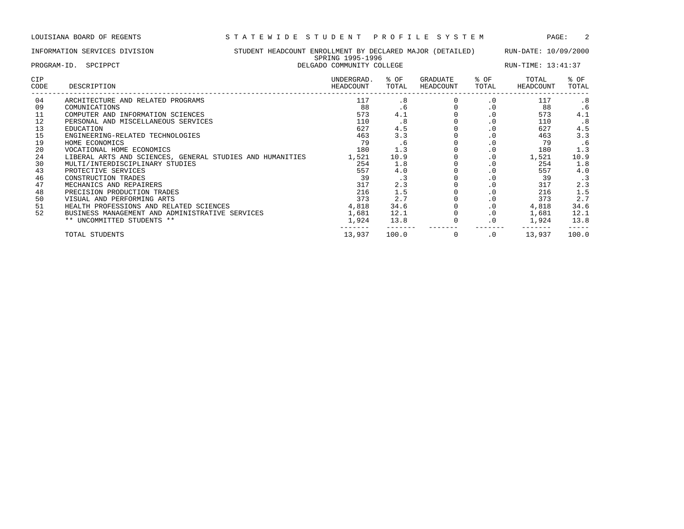------- ------- ------- ------- ------- -----

|             | INFORMATION SERVICES DIVISION                             | STUDENT HEADCOUNT ENROLLMENT BY DECLARED MAJOR (DETAILED) RUN-DATE: 10/09/2000 |                                               |               |                       |               |                    |                    |  |  |
|-------------|-----------------------------------------------------------|--------------------------------------------------------------------------------|-----------------------------------------------|---------------|-----------------------|---------------|--------------------|--------------------|--|--|
|             | PROGRAM-ID. SPCIPPCT                                      |                                                                                | SPRING 1995-1996<br>DELGADO COMMUNITY COLLEGE |               |                       |               |                    | RUN-TIME: 13:41:37 |  |  |
| CIP<br>CODE | DESCRIPTION                                               |                                                                                | UNDERGRAD.<br>HEADCOUNT                       | % OF<br>TOTAL | GRADUATE<br>HEADCOUNT | % OF<br>TOTAL | TOTAL<br>HEADCOUNT | % OF<br>TOTAL      |  |  |
| 04          | ARCHITECTURE AND RELATED PROGRAMS                         |                                                                                | 117                                           | .8            |                       | $\cdot$ 0     | 117                | .8                 |  |  |
| 09          | COMUNICATIONS                                             |                                                                                | 88                                            | . 6           |                       | $\cdot$ 0     | 88                 | . 6                |  |  |
| 11          | COMPUTER AND INFORMATION SCIENCES                         |                                                                                | 573                                           | 4.1           |                       | $\cdot$ 0     | 573                | 4.1                |  |  |
| 12          | PERSONAL AND MISCELLANEOUS SERVICES                       |                                                                                | 110                                           | .8            |                       | $\cdot$ 0     | 110                | .8                 |  |  |
| 13          | EDUCATION                                                 |                                                                                | 627                                           | 4.5           |                       | $\cdot$ 0     | 627                | 4.5                |  |  |
| 15          | ENGINEERING-RELATED TECHNOLOGIES                          |                                                                                | 463                                           | 3.3           |                       | $\cdot$ 0     | 463                | 3.3                |  |  |
| 19          | HOME ECONOMICS                                            |                                                                                | 79                                            | . 6           |                       | $\cdot$ 0     | 79                 | .6                 |  |  |
| 20          | VOCATIONAL HOME ECONOMICS                                 |                                                                                | 180                                           | 1.3           |                       | $\cdot$ 0     | 180                | 1.3                |  |  |
| 24          | LIBERAL ARTS AND SCIENCES, GENERAL STUDIES AND HUMANITIES |                                                                                | 1,521                                         | 10.9          |                       | $\cdot$ 0     | 1,521              | 10.9               |  |  |
| 30          | MULTI/INTERDISCIPLINARY STUDIES                           |                                                                                | 254                                           | 1.8           |                       | $\cdot$ 0     | 254                | 1.8                |  |  |
| 43          | PROTECTIVE SERVICES                                       |                                                                                | 557                                           | 4.0           |                       | $\cdot$ 0     | 557                | 4.0                |  |  |
| 46          | CONSTRUCTION TRADES                                       |                                                                                | 39                                            | $\cdot$ 3     |                       | $\cdot$ 0     | 39                 | . 3                |  |  |
| 47          | MECHANICS AND REPAIRERS                                   |                                                                                | 317                                           | 2.3           |                       | $\cdot$ 0     | 317                | 2.3                |  |  |
| 48          | PRECISION PRODUCTION TRADES                               |                                                                                | 216                                           | 1.5           |                       | $\cdot$ 0     | 216                | 1.5                |  |  |
| 50          | VISUAL AND PERFORMING ARTS                                |                                                                                | 373                                           | 2.7           |                       | $\cdot$ 0     | 373                | 2.7                |  |  |
| 51          | HEALTH PROFESSIONS AND RELATED SCIENCES                   |                                                                                | 4,818                                         | 34.6          |                       | $\cdot$ 0     | 4,818              | 34.6               |  |  |
| 52          | BUSINESS MANAGEMENT AND ADMINISTRATIVE SERVICES           |                                                                                | 1,681                                         | 12.1          |                       | $\cdot$ 0     | 1,681              | 12.1               |  |  |
|             | ** UNCOMMITTED STUDENTS **                                |                                                                                | 1,924                                         | 13.8          |                       |               | 1,924              | 13.8               |  |  |

TOTAL STUDENTS 13,937 100.0 0 .0 13,937 100.0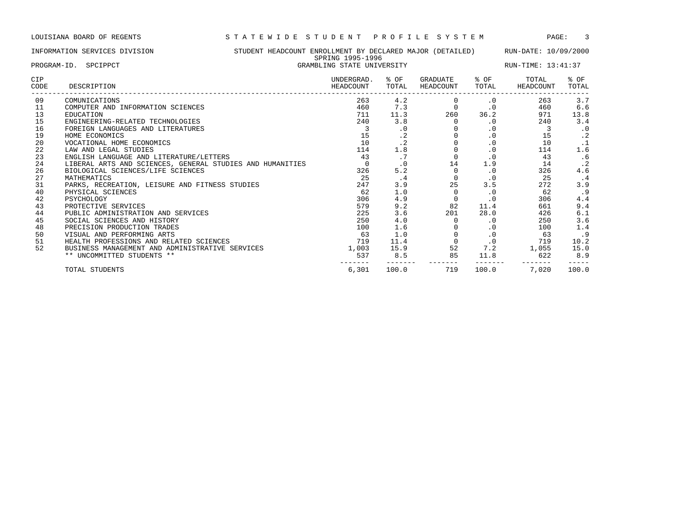# INFORMATION SERVICES DIVISION STUDENT HEADCOUNT ENROLLMENT BY DECLARED MAJOR (DETAILED) RUN-DATE: 10/09/2000 SPRING 1995-1996 PROGRAM-ID. SPCIPPCT GRAMBLING STATE UNIVERSITY RUN-TIME: 13:41:37

| <b>CIP</b><br>CODE | DESCRIPTION                                               | UNDERGRAD.<br>HEADCOUNT | % OF<br>TOTAL    | GRADUATE<br>HEADCOUNT | % OF<br>TOTAL | TOTAL<br>HEADCOUNT | $8$ OF<br>TOTAL |
|--------------------|-----------------------------------------------------------|-------------------------|------------------|-----------------------|---------------|--------------------|-----------------|
| 09                 | COMUNICATIONS                                             | 263                     | 4.2              |                       | $\cdot$ 0     | 263                | 3.7             |
| 11                 | COMPUTER AND INFORMATION SCIENCES                         | 460                     | 7.3              | 0                     | $\cdot$ 0     | 460                | 6.6             |
| 13                 | EDUCATION                                                 | 711                     | 11.3             | 260                   | 36.2          | 971                | 13.8            |
| 15                 | ENGINEERING-RELATED TECHNOLOGIES                          | 240                     | 3.8              | $\Omega$              | $\cdot$ 0     | 240                | 3.4             |
| 16                 | FOREIGN LANGUAGES AND LITERATURES                         |                         | . 0              |                       | $\cdot$ 0     | 3                  | $\cdot$ 0       |
| 19                 | HOME ECONOMICS                                            | 15                      | $\cdot$ 2        |                       | $\cdot$ 0     | 15                 | $\cdot$ 2       |
| 20                 | VOCATIONAL HOME ECONOMICS                                 | 10                      | $\cdot$ 2        |                       | $\cdot$ 0     | 10                 |                 |
| 22                 | LAW AND LEGAL STUDIES                                     | 114                     | 1.8              |                       | $\cdot$ 0     | 114                | 1.6             |
| 23                 | ENGLISH LANGUAGE AND LITERATURE/LETTERS                   | 43                      | $\cdot$ $\prime$ | $\Omega$              | $\cdot$ 0     | 43                 | . 6             |
| 24                 | LIBERAL ARTS AND SCIENCES, GENERAL STUDIES AND HUMANITIES |                         | $\cdot$ 0        | 14                    | 1.9           | 14                 | $\cdot$ 2       |
| 26                 | BIOLOGICAL SCIENCES/LIFE SCIENCES                         | 326                     | 5.2              | $\Omega$              | $\cdot$ 0     | 326                | 4.6             |
| 27                 | MATHEMATICS                                               | 25                      | . 4              | 0                     | $\cdot$ 0     | 25                 | . 4             |
| 31                 | PARKS, RECREATION, LEISURE AND FITNESS STUDIES            | 247                     | 3.9              | 25                    | 3.5           | 272                | 3.9             |
| 40                 | PHYSICAL SCIENCES                                         | 62                      | 1.0              | $\Omega$              | $\cdot$ 0     | 62                 | . 9             |
| 42                 | PSYCHOLOGY                                                | 306                     | 4.9              |                       | $\cdot$ 0     | 306                | 4.4             |
| 43                 | PROTECTIVE SERVICES                                       | 579                     | 9.2              | 82                    | 11.4          | 661                | 9.4             |
| 44                 | PUBLIC ADMINISTRATION AND SERVICES                        | 225                     | 3.6              | 201                   | 28.0          | 426                | 6.1             |
| 45                 | SOCIAL SCIENCES AND HISTORY                               | 250                     | 4.0              |                       | $\cdot$ 0     | 250                | 3.6             |
| 48                 | PRECISION PRODUCTION TRADES                               | 100                     | 1.6              |                       | $\cdot$ 0     | 100                | 1.4             |
| 50                 | VISUAL AND PERFORMING ARTS                                | 63                      | 1.0              |                       | $\cdot$ 0     | 63                 | . 9             |
| 51                 | HEALTH PROFESSIONS AND RELATED SCIENCES                   | 719                     | 11.4             | $\Omega$              | $\cdot$ 0     | 719                | 10.2            |
| 52                 | BUSINESS MANAGEMENT AND ADMINISTRATIVE SERVICES           | 1,003                   | 15.9             | 52                    | 7.2           | 1,055              | 15.0            |
|                    | ** UNCOMMITTED STUDENTS **                                | 537                     | 8.5              | 85                    | 11.8          | 622                | 8.9             |
|                    | TOTAL STUDENTS                                            | 6,301                   | 100.0            | 719                   | 100.0         | 7,020              | 100.0           |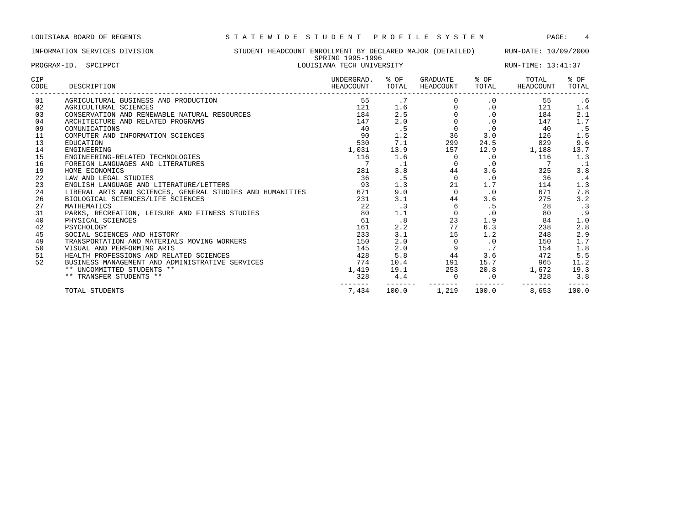## INFORMATION SERVICES DIVISION STUDENT HEADCOUNT ENROLLMENT BY DECLARED MAJOR (DETAILED) RUN-DATE: 10/09/2000 SPRING 1995-1996 PROGRAM-ID. SPCIPPCT **LOUISIANA TECH UNIVERSITY** RUN-TIME: 13:41:37

| <b>CIP</b><br>CODE | DESCRIPTION                                               | UNDERGRAD.<br>HEADCOUNT | % OF<br>TOTAL | GRADUATE<br>HEADCOUNT | % OF<br>TOTAL | TOTAL<br>HEADCOUNT | % OF<br>TOTAL |
|--------------------|-----------------------------------------------------------|-------------------------|---------------|-----------------------|---------------|--------------------|---------------|
| 01                 | AGRICULTURAL BUSINESS AND PRODUCTION                      | 55                      | .7            |                       | $\cdot$ 0     | 55                 | . 6           |
| 02                 | AGRICULTURAL SCIENCES                                     | 121                     | 1.6           | $\Omega$              | $\cdot$ 0     | 121                | 1.4           |
| 03                 | CONSERVATION AND RENEWABLE NATURAL RESOURCES              | 184                     | 2.5           |                       | $\cdot$ 0     | 184                | 2.1           |
| 04                 | ARCHITECTURE AND RELATED PROGRAMS                         | 147                     | 2.0           |                       | $\cdot$ 0     | 147                | 1.7           |
| 09                 | COMUNICATIONS                                             | 40                      | .5            | $\Omega$              | $\cdot$ 0     | 40                 | . 5           |
| 11                 | COMPUTER AND INFORMATION SCIENCES                         | 90                      | 1.2           | 36                    | 3.0           | 126                | 1.5           |
| 13                 | EDUCATION                                                 | 530                     | 7.1           | 299                   | 24.5          | 829                | 9.6           |
| 14                 | ENGINEERING                                               | 1,031                   | 13.9          | 157                   | 12.9          | 1,188              | 13.7          |
| 15                 | ENGINEERING-RELATED TECHNOLOGIES                          | 116                     | 1.6           | $\Omega$              | $\cdot$ 0     | 116                | 1.3           |
| 16                 | FOREIGN LANGUAGES AND LITERATURES                         |                         | $\cdot$ 1     | $\Omega$              | $\cdot$ 0     |                    | . 1           |
| 19                 | HOME ECONOMICS                                            | 281                     | 3.8           | 44                    | 3.6           | 325                | 3.8           |
| 22                 | LAW AND LEGAL STUDIES                                     | 36                      | .5            | $\Omega$              | $\cdot$ 0     | 36                 | . 4           |
| 23                 | ENGLISH LANGUAGE AND LITERATURE/LETTERS                   | 93                      | 1.3           | 21                    | 1.7           | 114                | 1.3           |
| 24                 | LIBERAL ARTS AND SCIENCES, GENERAL STUDIES AND HUMANITIES | 671                     | 9.0           | $\Omega$              | $\cdot$ 0     | 671                | 7.8           |
| 26                 | BIOLOGICAL SCIENCES/LIFE SCIENCES                         | 231                     | 3.1           | 44                    | 3.6           | 275                | 3.2           |
| 27                 | MATHEMATICS                                               | 22                      | $\cdot$ 3     | 6                     | .5            | 28                 | $\cdot$ 3     |
| 31                 | PARKS, RECREATION, LEISURE AND FITNESS STUDIES            | 80                      | 1.1           | $\circ$               | $\cdot$ 0     | 80                 | .9            |
| 40                 | PHYSICAL SCIENCES                                         | 61                      | .8            | 23                    | 1.9           | 84                 | 1.0           |
| 42                 | PSYCHOLOGY                                                | 161                     | 2.2           | 77                    | 6.3           | 238                | 2.8           |
| 45                 | SOCIAL SCIENCES AND HISTORY                               | 233                     | 3.1           | 15                    | 1.2           | 248                | 2.9           |
| 49                 | TRANSPORTATION AND MATERIALS MOVING WORKERS               | 150                     | 2.0           | $\Omega$              | $\cdot$ 0     | 150                | 1.7           |
| 50                 | VISUAL AND PERFORMING ARTS                                | 145                     | 2.0           | 9                     | .7            | 154                | 1.8           |
| 51                 | HEALTH PROFESSIONS AND RELATED SCIENCES                   | 428                     | 5.8           | 44                    | 3.6           | 472                | 5.5           |
| 52                 | BUSINESS MANAGEMENT AND ADMINISTRATIVE SERVICES           | 774                     | 10.4          | 191                   | 15.7          | 965                | 11.2          |
|                    | ** UNCOMMITTED STUDENTS **                                | 1,419                   | 19.1          | 253                   | 20.8          | 1,672              | 19.3          |
|                    | ** TRANSFER STUDENTS **                                   | 328                     | 4.4           | $\Omega$              | $\cdot$ 0     | 328                | 3.8           |
|                    | TOTAL STUDENTS                                            | 7,434                   | 100.0         | 1,219                 | 100.0         | 8,653              | 100.0         |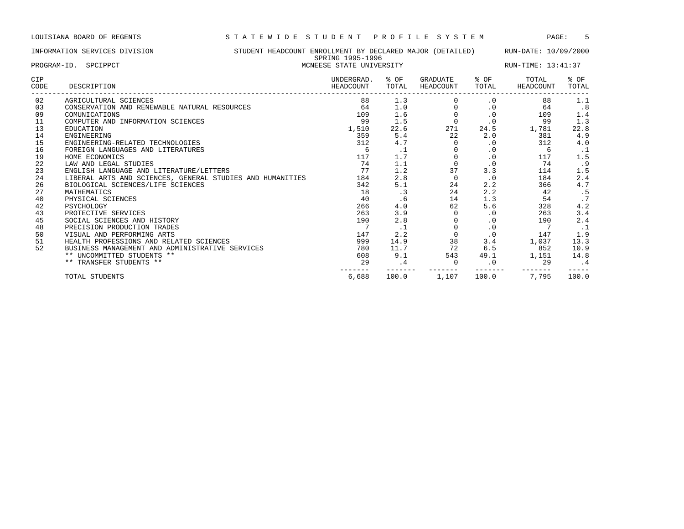## INFORMATION SERVICES DIVISION STUDENT HEADCOUNT ENROLLMENT BY DECLARED MAJOR (DETAILED) RUN-DATE: 10/09/2000 SPRING 1995-1996 PROGRAM-ID. SPCIPPCT **EXECUTES A SECULAR EXECUTES STATE UNIVERSITY** RUN-TIME: 13:41:37

| CIP<br>CODE | DESCRIPTION                                               | UNDERGRAD.<br>HEADCOUNT | % OF<br>TOTAL | GRADUATE<br>HEADCOUNT | % OF<br>TOTAL | TOTAL<br>HEADCOUNT | $8$ OF<br>TOTAL |
|-------------|-----------------------------------------------------------|-------------------------|---------------|-----------------------|---------------|--------------------|-----------------|
| 02          | AGRICULTURAL SCIENCES                                     | 88                      | 1.3           |                       | $\cdot$ 0     | 88                 | 1.1             |
| 03          | CONSERVATION AND RENEWABLE NATURAL RESOURCES              | 64                      | 1.0           |                       | $\cdot$ 0     | 64                 | .8              |
| 09          | COMUNICATIONS                                             | 109                     | 1.6           | $\mathbf 0$           | $\cdot$ 0     | 109                | 1.4             |
| 11          | COMPUTER AND INFORMATION SCIENCES                         | 99                      | 1.5           |                       | $\cdot$ 0     | 99                 | 1.3             |
| 13          | <b>EDUCATION</b>                                          | 1,510                   | 22.6          | 271                   | 24.5          | 1,781              | 22.8            |
| 14          | ENGINEERING                                               | 359                     | 5.4           | 22                    | 2.0           | 381                | 4.9             |
| 15          | ENGINEERING-RELATED TECHNOLOGIES                          | 312                     | 4.7           |                       | $\cdot$ 0     | 312                | 4.0             |
| 16          | FOREIGN LANGUAGES AND LITERATURES                         | 6                       | . 1           |                       | $\cdot$ 0     | 6                  |                 |
| 19          | HOME ECONOMICS                                            | 117                     | 1.7           |                       | $\cdot$ 0     | 117                | 1.5             |
| 22          | LAW AND LEGAL STUDIES                                     | 74                      | 1.1           | $\Omega$              | $\cdot$ 0     | 74                 | .9              |
| 23          | ENGLISH LANGUAGE AND LITERATURE/LETTERS                   | 77                      | 1.2           | 37                    | 3.3           | 114                | 1.5             |
| 24          | LIBERAL ARTS AND SCIENCES, GENERAL STUDIES AND HUMANITIES | 184                     | 2.8           | $\Omega$              | $\cdot$ 0     | 184                | 2.4             |
| 26          | BIOLOGICAL SCIENCES/LIFE SCIENCES                         | 342                     | 5.1           | 24                    | 2.2           | 366                | 4.7             |
| 27          | MATHEMATICS                                               | 18                      | $\cdot$ 3     | 24                    | 2.2           | 42                 | .5              |
| 40          | PHYSICAL SCIENCES                                         | 40                      | . 6           | 14                    | 1.3           | 54                 | .7              |
| 42          | PSYCHOLOGY                                                | 266                     | 4.0           | 62                    | 5.6           | 328                | 4.2             |
| 43          | PROTECTIVE SERVICES                                       | 263                     | 3.9           |                       | $\cdot$ 0     | 263                | 3.4             |
| 45          | SOCIAL SCIENCES AND HISTORY                               | 190                     | 2.8           |                       | $\cdot$ 0     | 190                | 2.4             |
| 48          | PRECISION PRODUCTION TRADES                               |                         | $\cdot$ 1     |                       | $\cdot$ 0     |                    |                 |
| 50          | VISUAL AND PERFORMING ARTS                                | 147                     | 2.2           | $\Omega$              | $\cdot$ 0     | 147                | 1.9             |
| 51          | HEALTH PROFESSIONS AND RELATED SCIENCES                   | 999                     | 14.9          | 38                    | 3.4           | 1,037              | 13.3            |
| 52          | BUSINESS MANAGEMENT AND ADMINISTRATIVE SERVICES           | 780                     | 11.7          | 72                    | 6.5           | 852                | 10.9            |
|             | ** UNCOMMITTED STUDENTS **                                | 608                     | 9.1           | 543                   | 49.1          | 1,151              | 14.8            |
|             | ** TRANSFER STUDENTS **                                   | 29                      | $\cdot$ 4     | $\Omega$              | $\cdot$ 0     | 29                 |                 |
|             | TOTAL STUDENTS                                            | 6,688                   | 100.0         | 1,107                 | 100.0         | 7,795              | 100.0           |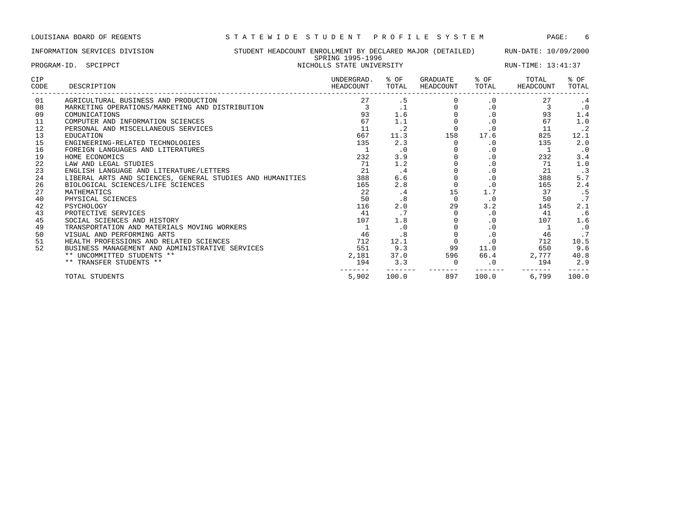|             | INFORMATION SERVICES DIVISION                   | STUDENT HEADCOUNT ENROLLMENT BY DECLARED MAJOR (DETAILED)<br>SPRING 1995-1996 |               |                       |               | RUN-DATE: 10/09/2000 |               |
|-------------|-------------------------------------------------|-------------------------------------------------------------------------------|---------------|-----------------------|---------------|----------------------|---------------|
| PROGRAM-ID. | SPCIPPCT                                        | NICHOLLS STATE UNIVERSITY                                                     |               |                       |               | RUN-TIME: 13:41:37   |               |
| CIP<br>CODE | DESCRIPTION                                     | UNDERGRAD.<br>HEADCOUNT                                                       | % OF<br>TOTAL | GRADUATE<br>HEADCOUNT | % OF<br>TOTAL | TOTAL<br>HEADCOUNT   | % OF<br>TOTAL |
| 01          | AGRICULTURAL BUSINESS AND PRODUCTION            | 27                                                                            | . 5           |                       | $\cdot$ 0     |                      | . 4           |
| 08          | MARKETING OPERATIONS/MARKETING AND DISTRIBUTION |                                                                               |               |                       |               |                      | $\cdot$ 0     |
| 09          | COMUNICATIONS                                   | 93                                                                            | 1.6           |                       |               | 93                   | 1.4           |
| -11         | COMPUTER AND INFORMATION SCIENCES               | 67                                                                            |               |                       |               | 67                   | 1.0           |
| 12          | PERSONAL AND MISCELLANEOUS SERVICES             |                                                                               |               |                       |               |                      |               |
| 13          | EDUCATION                                       | 667                                                                           | 11.3          | 158                   | 17.6          | 825                  | 12.1          |
| 15          | ENGINEERING-RELATED TECHNOLOGIES                | 135                                                                           | 2.3           |                       |               | 135                  | 2.0           |
| 16          | FOREIGN LANGUAGES AND LITERATURES               |                                                                               |               |                       |               |                      |               |
| 19          | HOME ECONOMICS                                  | 232                                                                           |               |                       |               | 232                  | 3.4           |

| 16 | FOREIGN LANGUAGES AND LITERATURES                         |       | . 0   |     | . 0       |       | $\cdot$ 0 |
|----|-----------------------------------------------------------|-------|-------|-----|-----------|-------|-----------|
| 19 | HOME ECONOMICS                                            | 232   | 3.9   |     | . 0       | 232   | 3.4       |
| 22 | LAW AND LEGAL STUDIES                                     | 71    | 1.2   |     | . ∪       |       | 1.0       |
| 23 | ENGLISH LANGUAGE AND LITERATURE/LETTERS                   | 21    | . 4   |     | . 0       |       | . 3       |
| 24 | LIBERAL ARTS AND SCIENCES, GENERAL STUDIES AND HUMANITIES | 388   | 6.6   |     | . 0       | 388   | 5.7       |
| 26 | BIOLOGICAL SCIENCES/LIFE SCIENCES                         | 165   | 2.8   |     |           | 165   | 2.4       |
|    | MATHEMATICS                                               | 22    | . 4   |     | <b>1.</b> |       |           |
| 40 | PHYSICAL SCIENCES                                         | 50    | .8    |     | . 0       | 50    |           |
| 42 | PSYCHOLOGY                                                | 116   | 2.0   | 29  | 3.2       | 145   | 2.1       |
| 43 | PROTECTIVE SERVICES                                       | 41    | . .   |     | . 0       |       | .6        |
| 45 | SOCIAL SCIENCES AND HISTORY                               | 107   | 1.8   |     | . 0       | 107   | 1.6       |
| 49 | TRANSPORTATION AND MATERIALS MOVING WORKERS               |       | . 0   |     | . 0       |       | $\cdot$ 0 |
| 50 | VISUAL AND PERFORMING ARTS                                | 46    | . 8   |     |           | 46    |           |
| 51 | HEALTH PROFESSIONS AND RELATED SCIENCES                   | 712   | 12.1  |     |           | 712   | 10.5      |
| 52 | BUSINESS MANAGEMENT AND ADMINISTRATIVE SERVICES           | 551   | 9.3   | 99  | 11.0      | 650   | 9.6       |
|    | ** UNCOMMITTED STUDENTS **                                | 2,181 | 37.0  | 596 | 66.4      | 2,777 | 40.8      |
|    | ** TRANSFER STUDENTS **                                   | 194   | 3.3   |     |           | 194   | 2.9       |
|    | TOTAL STUDENTS                                            | 5,902 | 100.0 | 897 | 100.0     | 6,799 | 100.0     |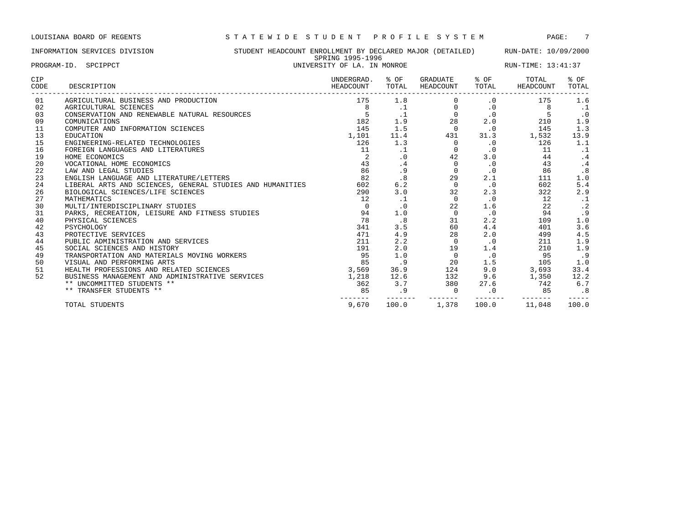INFORMATION SERVICES DIVISION STUDENT HEADCOUNT ENROLLMENT BY DECLARED MAJOR (DETAILED) RUN-DATE: 10/09/2000 SPRING 1995-1996 PROGRAM-ID. SPCIPPCT **EXAM-ID.** SPEIPPCT **EXAM-ID.** SPEIP START OF LA. IN MONROE RUN-TIME: 13:41:37

| CIP<br>CODE | DESCRIPTION                                               | UNDERGRAD.<br>HEADCOUNT | % OF<br>TOTAL | GRADUATE<br>HEADCOUNT | $8$ OF<br>TOTAL | TOTAL<br>HEADCOUNT | % OF<br>TOTAL |
|-------------|-----------------------------------------------------------|-------------------------|---------------|-----------------------|-----------------|--------------------|---------------|
| 01          | AGRICULTURAL BUSINESS AND PRODUCTION                      | 175                     | 1.8           | $\Omega$              | $\cdot$ 0       | 175                | 1.6           |
| 02          | AGRICULTURAL SCIENCES                                     | 8                       | $\cdot$ 1     | 0                     | $\cdot$ 0       | 8                  | $\cdot$ 1     |
| 03          | CONSERVATION AND RENEWABLE NATURAL RESOURCES              |                         | $\cdot$ 1     | $\Omega$              | $\cdot$ 0       | 5                  | $\cdot$ 0     |
| 09          | COMUNICATIONS                                             | 182                     | 1.9           | 28                    | 2.0             | 210                | 1.9           |
| 11          | COMPUTER AND INFORMATION SCIENCES                         | 145                     | 1.5           | $\Omega$              | $\cdot$ 0       | 145                | 1.3           |
| 13          | EDUCATION                                                 | 1,101                   | 11.4          | 431                   | 31.3            | 1,532              | 13.9          |
| 15          | ENGINEERING-RELATED TECHNOLOGIES                          | 126                     | 1.3           | $\Omega$              | $\cdot$ 0       | 126                | 1.1           |
| 16          | FOREIGN LANGUAGES AND LITERATURES                         | 11                      | $\cdot$ 1     | $\Omega$              | $\cdot$ 0       | 11                 | $\cdot$ 1     |
| 19          | HOME ECONOMICS                                            | 2                       | $\cdot$ 0     | 42                    | 3.0             | 44                 | $\cdot$ 4     |
| 20          | VOCATIONAL HOME ECONOMICS                                 | 43                      | .4            | $\Omega$              | $\cdot$ 0       | 43                 | $\cdot$ 4     |
| 22          | LAW AND LEGAL STUDIES                                     | 86                      | .9            | $\Omega$              | $\cdot$ 0       | 86                 | .8            |
| 23          | ENGLISH LANGUAGE AND LITERATURE/LETTERS                   | 82                      | .8            | 29                    | 2.1             | 111                | 1.0           |
| 24          | LIBERAL ARTS AND SCIENCES, GENERAL STUDIES AND HUMANITIES | 602                     | 6.2           | $\mathbf{0}$          | $\cdot$ 0       | 602                | 5.4           |
| 26          | BIOLOGICAL SCIENCES/LIFE SCIENCES                         | 290                     | 3.0           | 32                    | 2.3             | 322                | 2.9           |
| 27          | MATHEMATICS                                               | 12                      | $\cdot$ 1     | $\Omega$              | $\cdot$ 0       | 12                 | $\cdot$ 1     |
| 30          | MULTI/INTERDISCIPLINARY STUDIES                           | $\Omega$                | $\cdot$ 0     | 22                    | 1.6             | 22                 | $\cdot$ 2     |
| 31          | PARKS, RECREATION, LEISURE AND FITNESS STUDIES            | 94                      | 1.0           | $\mathbf 0$           | $\cdot$ 0       | 94                 | .9            |
| 40          | PHYSICAL SCIENCES                                         | 78                      | .8            | 31                    | 2.2             | 109                | 1.0           |
| 42          | PSYCHOLOGY                                                | 341                     | 3.5           | 60                    | 4.4             | 401                | 3.6           |
| 43          | PROTECTIVE SERVICES                                       | 471                     | 4.9           | 28                    | 2.0             | 499                | 4.5           |
| 44          | PUBLIC ADMINISTRATION AND SERVICES                        | 211                     | 2.2           | $\Omega$              | $\cdot$ 0       | 211                | 1.9           |
| 45          | SOCIAL SCIENCES AND HISTORY                               | 191                     | 2.0           | 19                    | 1.4             | 210                | 1.9           |
| 49          | TRANSPORTATION AND MATERIALS MOVING WORKERS               | 95                      | 1.0           | $\mathbf 0$           | $\cdot$ 0       | 95                 | .9            |
| 50          | VISUAL AND PERFORMING ARTS                                | 85                      | .9            | 20                    | 1.5             | 105                | 1.0           |
| 51          | HEALTH PROFESSIONS AND RELATED SCIENCES                   | 3,569                   | 36.9          | 124                   | 9.0             | 3,693              | 33.4          |
| 52          | BUSINESS MANAGEMENT AND ADMINISTRATIVE SERVICES           | 1,218                   | 12.6          | 132                   | 9.6             | 1,350              | 12.2          |
|             | ** UNCOMMITTED STUDENTS **                                | 362                     | 3.7           | 380                   | 27.6            | 742                | 6.7           |
|             | ** TRANSFER STUDENTS **                                   | 85                      | . 9           | $\Omega$              | $\cdot$ 0       | 85                 | .8            |
|             | TOTAL STUDENTS                                            | 9,670                   | 100.0         | 1,378                 | 100.0           | 11,048             | 100.0         |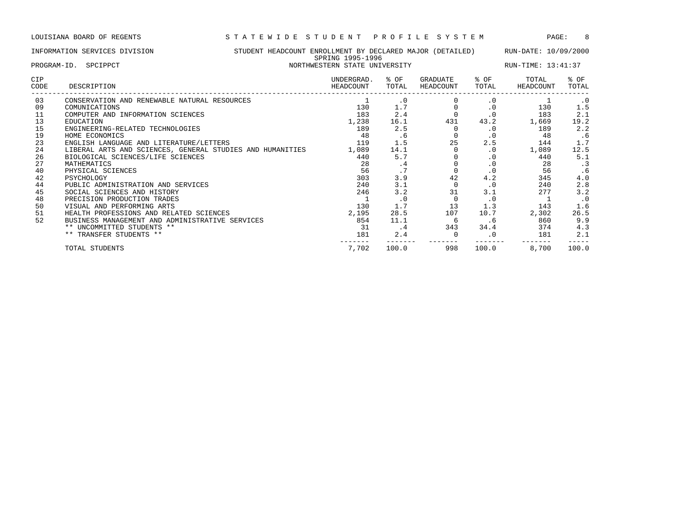------- ------- ------- ------- ------- -----

|             | INFORMATION SERVICES DIVISION                             | STUDENT HEADCOUNT ENROLLMENT BY DECLARED MAJOR (DETAILED)<br>SPRING 1995-1996 |                 |                       |               |                    | RUN-DATE: 10/09/2000 |  |  |
|-------------|-----------------------------------------------------------|-------------------------------------------------------------------------------|-----------------|-----------------------|---------------|--------------------|----------------------|--|--|
| PROGRAM-ID. | SPCIPPCT                                                  | NORTHWESTERN STATE UNIVERSITY                                                 |                 |                       |               |                    | RUN-TIME: 13:41:37   |  |  |
| CIP<br>CODE | DESCRIPTION                                               | UNDERGRAD.<br>HEADCOUNT                                                       | % OF<br>TOTAL   | GRADUATE<br>HEADCOUNT | % OF<br>TOTAL | TOTAL<br>HEADCOUNT | % OF<br>TOTAL        |  |  |
| 03          | CONSERVATION AND RENEWABLE NATURAL RESOURCES              |                                                                               | $\cdot$ 0       |                       | $\cdot$ 0     |                    | $\cdot$ 0            |  |  |
| 09          | COMUNICATIONS                                             | 130                                                                           | 1.7             |                       |               | 130                | 1.5                  |  |  |
| 11          | COMPUTER AND INFORMATION SCIENCES                         | 183                                                                           | 2.4             |                       | $\cdot$ 0     | 183                | 2.1                  |  |  |
| 13          | EDUCATION                                                 | 1,238                                                                         | 16.1            | 431                   | 43.2          | 1,669              | 19.2                 |  |  |
| 15          | ENGINEERING-RELATED TECHNOLOGIES                          | 189                                                                           | 2.5             |                       | . 0           | 189                | 2.2                  |  |  |
| 19          | HOME ECONOMICS                                            | 48                                                                            | . 6             |                       | . 0           | 48                 | .6                   |  |  |
| 23          | ENGLISH LANGUAGE AND LITERATURE/LETTERS                   | 119                                                                           | 1.5             | 25                    | 2.5           | 144                | 1.7                  |  |  |
| 24          | LIBERAL ARTS AND SCIENCES, GENERAL STUDIES AND HUMANITIES | 1,089                                                                         | 14.1            |                       | $\cdot$ 0     | 1,089              | 12.5                 |  |  |
| 26          | BIOLOGICAL SCIENCES/LIFE SCIENCES                         | 440                                                                           | 5.7             |                       | $\cdot$ 0     | 440                | 5.1                  |  |  |
| 27          | MATHEMATICS                                               | 28                                                                            | . 4             |                       | $\cdot$ 0     | 28                 | $\cdot$ 3            |  |  |
| 40          | PHYSICAL SCIENCES                                         | 56                                                                            | $\cdot$ $\cdot$ |                       | $\cdot$ 0     | 56                 | .6                   |  |  |
| 42          | PSYCHOLOGY                                                | 303                                                                           | 3.9             | 42                    | 4.2           | 345                | 4.0                  |  |  |
| 44          | PUBLIC ADMINISTRATION AND SERVICES                        | 240                                                                           | 3.1             |                       | $\cdot$ 0     | 240                | 2.8                  |  |  |

45 SOCIAL SCIENCES AND HISTORY 246 3.2 31 3.1 277 3.2 48 PRECISION PRODUCTION TRADES 1 .0 0 .0 1 .0 50 VISUAL AND PERFORMING ARTS 130 1.7 13 1.3 143 1.6 51 HEALTH PROFESSIONS AND RELATED SCIENCES 2,195 28.5 107 10.7 2,302 26.5 52 BUSINESS MANAGEMENT AND ADMINISTRATIVE SERVICES 854 11.1 6 .6 860 9.9 \*\* UNCOMMITTED STUDENTS \*\*  $\begin{array}{cccc} 31 & .4 & .343 & .34.4 & .374 & .4.3 \end{array}$ \*\* TRANSFER STUDENTS \*\* 181 2.1 2.2 181 2.1 2.2 181 2.1

TOTAL STUDENTS 7,702 100.0 998 100.0 8,700 100.0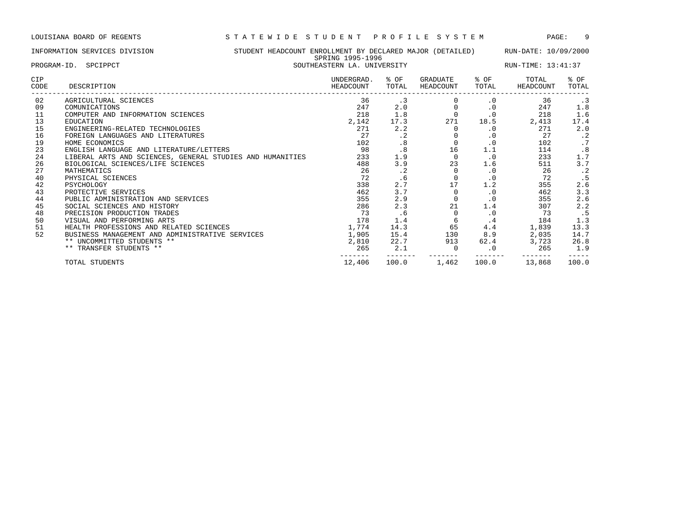------- ------- ------- ------- ------- -----

|                    | STUDENT HEADCOUNT ENROLLMENT BY DECLARED MAJOR (DETAILED)<br>INFORMATION SERVICES DIVISION |  |                             | SPRING 1995-1996 |                       | RUN-DATE: 10/09/2000 |                    |               |
|--------------------|--------------------------------------------------------------------------------------------|--|-----------------------------|------------------|-----------------------|----------------------|--------------------|---------------|
|                    | PROGRAM-ID. SPCIPPCT                                                                       |  | SOUTHEASTERN LA. UNIVERSITY |                  |                       | RUN-TIME: 13:41:37   |                    |               |
| <b>CIP</b><br>CODE | DESCRIPTION                                                                                |  | UNDERGRAD.<br>HEADCOUNT     | % OF<br>TOTAL    | GRADUATE<br>HEADCOUNT | % OF<br>TOTAL        | TOTAL<br>HEADCOUNT | % OF<br>TOTAL |
| 02                 | AGRICULTURAL SCIENCES                                                                      |  | 36                          | . 3              |                       | $\cdot$ 0            | 36                 | . 3           |
| 09                 | COMUNICATIONS                                                                              |  | 247                         | 2.0              |                       | . 0                  | 247                | 1.8           |
| 11                 | COMPUTER AND INFORMATION SCIENCES                                                          |  | 218                         | 1.8              | $\Omega$              | .0                   | 218                | 1.6           |
| 13                 | EDUCATION                                                                                  |  | 2,142                       | 17.3             | 271                   | 18.5                 | 2,413              | 17.4          |
| 15                 | ENGINEERING-RELATED TECHNOLOGIES                                                           |  | 271                         | 2.2              |                       | . 0                  | 271                | 2.0           |
| 16                 | FOREIGN LANGUAGES AND LITERATURES                                                          |  | 27                          | $\cdot$ 2        |                       | . 0                  | 27                 | $\cdot$ 2     |
| 19                 | HOME ECONOMICS                                                                             |  | 102                         | .8               |                       | . 0                  | 102                | .7            |
| 23                 | ENGLISH LANGUAGE AND LITERATURE/LETTERS                                                    |  | 98                          | .8               | 16                    | 1.1                  | 114                | .8            |
| 24                 | LIBERAL ARTS AND SCIENCES, GENERAL STUDIES AND HUMANITIES                                  |  | 233                         | 1.9              |                       | $\cdot$ 0            | 233                | 1.7           |
| 26                 | BIOLOGICAL SCIENCES/LIFE SCIENCES                                                          |  | 488                         | 3.9              | 23                    | 1.6                  | 511                | 3.7           |
| 27                 | MATHEMATICS                                                                                |  | 26                          | $\cdot$ 2        |                       | $\cdot$ 0            | 26                 | $\cdot$ 2     |
| 40                 | PHYSICAL SCIENCES                                                                          |  | 72                          | . 6              |                       | . 0                  | 72                 | .5            |
| 42                 | PSYCHOLOGY                                                                                 |  | 338                         | 2.7              | 17                    | 1.2                  | 355                | 2.6           |
| 43                 | PROTECTIVE SERVICES                                                                        |  | 462                         | 3.7              |                       | $\cdot$ 0            | 462                | 3.3           |
| 44                 | PUBLIC ADMINISTRATION AND SERVICES                                                         |  | 355                         | 2.9              | $\Omega$              | $\cdot$ 0            | 355                | 2.6           |
| 45                 | SOCIAL SCIENCES AND HISTORY                                                                |  | 286                         | 2.3              | 21                    | 1.4                  | 307                | 2.2           |

 PRECISION PRODUCTION TRADES 73 .6 0 .0 73 .5 50 VISUAL AND PERFORMING ARTS 178 1.4 6 .4 184 1.3 HEALTH PROFESSIONS AND RELATED SCIENCES 1,774 14.3 65 4.4 1,839 13.3 BUSINESS MANAGEMENT AND ADMINISTRATIVE SERVICES 1,905 15.4 130 8.9 2,035 14.7 \*\* UNCOMMITTED STUDENTS \*\* 2,810 22.7 913 62.4 3,723 26.8 \*\* TRANSFER STUDENTS \*\* 265 2.1 0 .0 265 1.9

TOTAL STUDENTS 12,406 100.0 1,462 100.0 13,868 100.0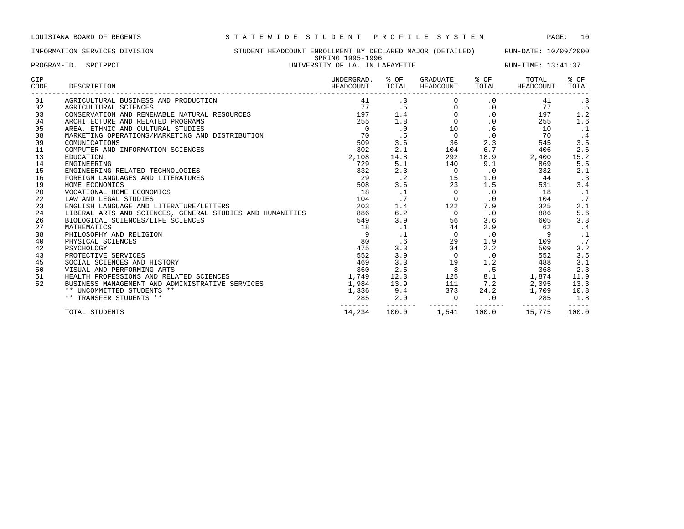INFORMATION SERVICES DIVISION STUDENT HEADCOUNT ENROLLMENT BY DECLARED MAJOR (DETAILED) RUN-DATE: 10/09/2000 SPRING 1995-1996 PROGRAM-ID. SPCIPPCT **EXAM-ID.** SPEIPPCT **EXAM-ID.** SPEIP STALL SOMETHE THE RUN-TIME: 13:41:37

| CIP<br>CODE | DESCRIPTION                                               | UNDERGRAD.<br>HEADCOUNT | % OF<br>TOTAL | GRADUATE<br>HEADCOUNT | % OF<br>TOTAL | TOTAL<br>HEADCOUNT | % OF<br>TOTAL |
|-------------|-----------------------------------------------------------|-------------------------|---------------|-----------------------|---------------|--------------------|---------------|
| 01          | AGRICULTURAL BUSINESS AND PRODUCTION                      | 41                      | $\cdot$ 3     | 0                     | $\cdot$ 0     | 41                 | $\cdot$ 3     |
| 02          | AGRICULTURAL SCIENCES                                     | 77                      | .5            | $\Omega$              | $\cdot$ 0     | 77                 | .5            |
| 03          | CONSERVATION AND RENEWABLE NATURAL RESOURCES              | 197                     | 1.4           | $\Omega$              | $\cdot$ 0     | 197                | 1.2           |
| 04          | ARCHITECTURE AND RELATED PROGRAMS                         | 255                     | 1.8           | $\Omega$              | $\cdot$ 0     | 255                | 1.6           |
| 05          | AREA, ETHNIC AND CULTURAL STUDIES                         | $\Omega$                | $\cdot$ 0     | 10                    | .6            | 10                 | $\cdot$ 1     |
| 08          | MARKETING OPERATIONS/MARKETING AND DISTRIBUTION           | 70                      | .5            | $\mathbf 0$           | $\cdot$ 0     | 70                 | . 4           |
| 09          | COMUNICATIONS                                             | 509                     | 3.6           | 36                    | 2.3           | 545                | 3.5           |
| 11          | COMPUTER AND INFORMATION SCIENCES                         | 302                     | 2.1           | 104                   | 6.7           | 406                | 2.6           |
| 13          | EDUCATION                                                 | 2,108                   | 14.8          | 292                   | 18.9          | 2,400              | 15.2          |
| 14          | ENGINEERING                                               | 729                     | 5.1           | 140                   | 9.1           | 869                | 5.5           |
| 15          | ENGINEERING-RELATED TECHNOLOGIES                          | 332                     | 2.3           | 0                     | $\cdot$ 0     | 332                | 2.1           |
| 16          | FOREIGN LANGUAGES AND LITERATURES                         | 29                      | $\cdot$ 2     | 15                    | 1.0           | 44                 | $\cdot$ 3     |
| 19          | HOME ECONOMICS                                            | 508                     | 3.6           | 23                    | 1.5           | 531                | 3.4           |
| 20          | VOCATIONAL HOME ECONOMICS                                 | 18                      | $\cdot$ 1     | $\Omega$              | $\cdot$ 0     | 18                 | $\cdot$ 1     |
| 22          | LAW AND LEGAL STUDIES                                     | 104                     | .7            | $\Omega$              | $\cdot$ 0     | 104                | .7            |
| 23          | ENGLISH LANGUAGE AND LITERATURE/LETTERS                   | 203                     | 1.4           | 122                   | 7.9           | 325                | 2.1           |
| 24          | LIBERAL ARTS AND SCIENCES, GENERAL STUDIES AND HUMANITIES | 886                     | 6.2           | $\Omega$              | $\cdot$ 0     | 886                | 5.6           |
| 26          | BIOLOGICAL SCIENCES/LIFE SCIENCES                         | 549                     | 3.9           | 56                    | 3.6           | 605                | 3.8           |
| 27          | MATHEMATICS                                               | 18                      | $\cdot$ 1     | 44                    | 2.9           | 62                 | .4            |
| 38          | PHILOSOPHY AND RELIGION                                   | 9                       | $\cdot$ 1     | $\Omega$              | $\cdot$ 0     | 9                  |               |
| 40          | PHYSICAL SCIENCES                                         | 80                      | .6            | 29                    | 1.9           | 109                | .7            |
| 42          | PSYCHOLOGY                                                | 475                     | 3.3           | 34                    | 2.2           | 509                | 3.2           |
| 43          | PROTECTIVE SERVICES                                       | 552                     | 3.9           | $\Omega$              | $\cdot$ 0     | 552                | 3.5           |
| 45          | SOCIAL SCIENCES AND HISTORY                               | 469                     | 3.3           | 19                    | 1.2           | 488                | 3.1           |
| 50          | VISUAL AND PERFORMING ARTS                                | 360                     | 2.5           | 8                     | .5            | 368                | 2.3           |
| 51          | HEALTH PROFESSIONS AND RELATED SCIENCES                   | 1,749                   | 12.3          | 125                   | 8.1           | 1,874              | 11.9          |
| 52          | BUSINESS MANAGEMENT AND ADMINISTRATIVE SERVICES           | 1,984                   | 13.9          | 111                   | 7.2           | 2,095              | 13.3          |
|             | ** UNCOMMITTED STUDENTS **                                | 1,336                   | 9.4           | 373                   | 24.2          | 1,709              | 10.8          |
|             | ** TRANSFER STUDENTS **                                   | 285                     | 2.0           | $\mathbf 0$           | $\cdot$ 0     | 285                | 1.8           |
|             | TOTAL STUDENTS                                            | 14,234                  | 100.0         | 1,541                 | 100.0         | 15,775             | 100.0         |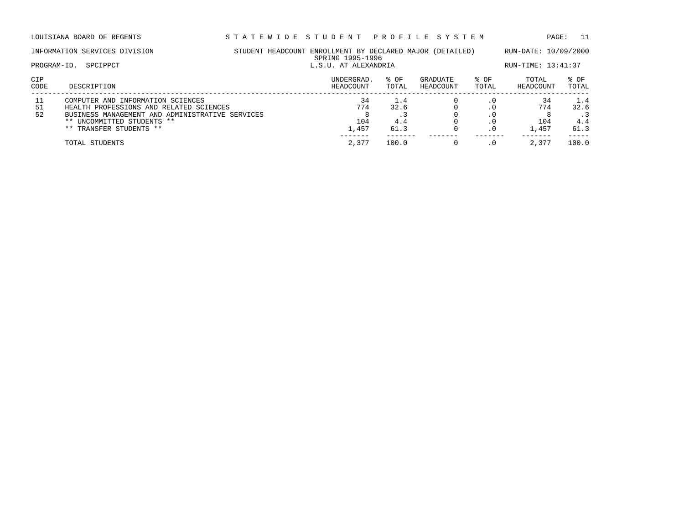|             | INFORMATION SERVICES DIVISION                                                                                                                                                            | STUDENT HEADCOUNT ENROLLMENT BY DECLARED MAJOR (DETAILED) | SPRING 1995-1996          |                            |                       |               | RUN-DATE: 10/09/2000      |                            |
|-------------|------------------------------------------------------------------------------------------------------------------------------------------------------------------------------------------|-----------------------------------------------------------|---------------------------|----------------------------|-----------------------|---------------|---------------------------|----------------------------|
|             | SPCIPPCT<br>PROGRAM-ID.                                                                                                                                                                  |                                                           |                           | L.S.U. AT ALEXANDRIA       |                       |               |                           |                            |
| CIP<br>CODE | DESCRIPTION                                                                                                                                                                              |                                                           | UNDERGRAD.<br>HEADCOUNT   | % OF<br>TOTAL              | GRADUATE<br>HEADCOUNT | % OF<br>TOTAL | TOTAL<br>HEADCOUNT        | $8$ OF<br>TOTAL            |
| 51<br>52    | COMPUTER AND INFORMATION SCIENCES<br>HEALTH PROFESSIONS AND RELATED SCIENCES<br>BUSINESS MANAGEMENT AND ADMINISTRATIVE SERVICES<br>** UNCOMMITTED STUDENTS **<br>** TRANSFER STUDENTS ** |                                                           | 34<br>774<br>104<br>1,457 | 1.4<br>32.6<br>4.4<br>61.3 |                       | . 0           | 34<br>774<br>104<br>1,457 | 1.4<br>32.6<br>4.4<br>61.3 |
|             | TOTAL STUDENTS                                                                                                                                                                           |                                                           | 2,377                     | 100.0                      |                       |               | 2,377                     | 100.0                      |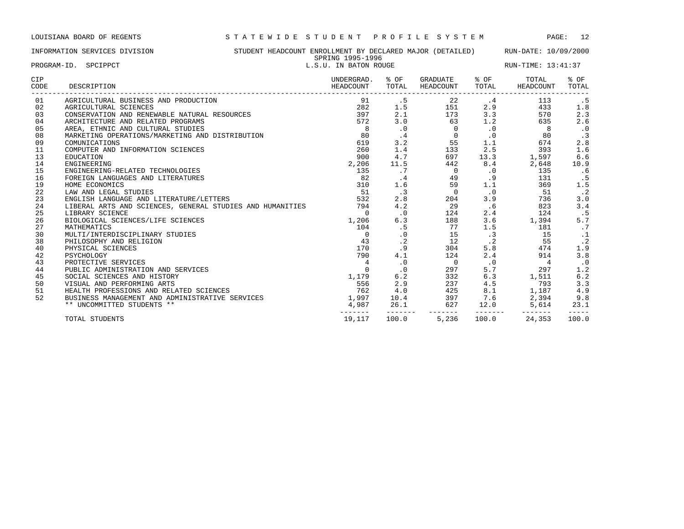## INFORMATION SERVICES DIVISION STUDENT HEADCOUNT ENROLLMENT BY DECLARED MAJOR (DETAILED) RUN-DATE: 10/09/2000 SPRING 1995-1996<br>L.S. IL IN RATON POUGE

| PROGRAM-ID. SPCIPPCT |                                                                                                                                                | DEMING TODO TODO<br>L.S.U. IN BATON ROUGE |               |                                                                                     |                 | RUN-TIME: 13:41:37                                           |                     |  |
|----------------------|------------------------------------------------------------------------------------------------------------------------------------------------|-------------------------------------------|---------------|-------------------------------------------------------------------------------------|-----------------|--------------------------------------------------------------|---------------------|--|
| CIP<br>CODE          | DESCRIPTION                                                                                                                                    | UNDERGRAD.<br>HEADCOUNT                   | % OF<br>TOTAL | GRADUATE % OF<br>HEADCOUNT                                                          | TOTAL           | TOTAL<br>HEADCOUNT                                           | % OF<br>TOTAL       |  |
| 01                   | AGRICULTURAL BUSINESS AND PRODUCTION                                                                                                           | 91                                        | .5            | $\begin{array}{ccc} 22 & -2 & -2 \\ 151 & 2.9 \\ 173 & 3.3 \\ 63 & 1.2 \end{array}$ |                 | 113                                                          | . 5                 |  |
| 02                   |                                                                                                                                                | 282                                       | 1.5           |                                                                                     |                 | 433                                                          | 1.8                 |  |
| 03                   | AGRICULTURAL SCIENCES<br>CONSERVATION AND RENEWABLE NATURAL RESOURCES<br>ARCHITECTURE AND RELATED PROGRAMS<br>CELATECTURE AND CULTURE CELEMENT | 397                                       | 2.1           |                                                                                     |                 | 570                                                          | 2.3                 |  |
| 04                   |                                                                                                                                                | 572                                       | 3.0           |                                                                                     |                 | 635                                                          | 2.6                 |  |
| 05                   | AREA, ETHNIC AND CULTURAL STUDIES                                                                                                              | 8 <sup>1</sup>                            | $\cdot$ 0     | $\overline{0}$                                                                      | $\cdot$ 0       | 8                                                            | $\cdot$ 0           |  |
| 08                   | MARKETING OPERATIONS/MARKETING AND DISTRIBUTION                                                                                                | 80                                        | $\cdot$ 4     | $\overline{0}$                                                                      | $\cdot$ 0       | 80                                                           | $\cdot$ 3           |  |
| 09                   | COMUNICATIONS                                                                                                                                  | 619                                       | 3.2           | 55                                                                                  | 1.1             | 674                                                          | 2.8                 |  |
| 11                   | COMPUTER AND INFORMATION SCIENCES                                                                                                              | 260                                       | 1.4           | 133                                                                                 | 2.5             |                                                              | 1.6                 |  |
| 13                   | EDUCATION                                                                                                                                      | 900                                       | 4.7           | 697                                                                                 | 13.3            | $393$<br>1,597<br>2                                          | 6.6                 |  |
| 14                   | ENGINEERING                                                                                                                                    | 2,206                                     | 11.5          | 442                                                                                 | 8.4             |                                                              | 10.9                |  |
| 15                   | ENGINEERING-RELATED TECHNOLOGIES                                                                                                               | 135                                       | .7            | $\overline{0}$                                                                      | $\cdot$ 0       | 135                                                          | .6                  |  |
| 16                   | FOREIGN LANGUAGES AND LITERATURES                                                                                                              | 82                                        | $\cdot$ 4     | 49                                                                                  | .9              | 131                                                          | . 5                 |  |
| 19                   | HOME ECONOMICS                                                                                                                                 | 310                                       | 1.6           | 59                                                                                  | 1.1             | 369                                                          | 1.5                 |  |
| 22                   | LAW AND LEGAL STUDIES                                                                                                                          | 51                                        | $\cdot$ 3     | $\frac{58}{204}$                                                                    | $\cdot$ 0       | 51                                                           | $\cdot$ 2           |  |
| 23                   | ENGLISH LANGUAGE AND LITERATURE/LETTERS                                                                                                        | 532                                       | 2.8           | 204                                                                                 | 3.9             | 736                                                          | 3.0                 |  |
| 24                   | LIBERAL ARTS AND SCIENCES, GENERAL STUDIES AND HUMANITIES                                                                                      | 794                                       | 4.2           | 29                                                                                  | .6              | 823                                                          | 3.4                 |  |
| 25                   | LIBRARY SCIENCE                                                                                                                                | $\overline{0}$                            | $\cdot$ 0     | 124                                                                                 | 2.4             | 124                                                          | . 5                 |  |
| 26                   | BIOLOGICAL SCIENCES/LIFE SCIENCES                                                                                                              | 1,206                                     | 6.3           | 188                                                                                 | 3.6             | 1, 394                                                       | 5.7                 |  |
| 27                   | MATHEMATICS                                                                                                                                    | 104                                       | .5            | 77                                                                                  | 1.5             | 181                                                          | .7                  |  |
| 30                   | MULTI/INTERDISCIPLINARY STUDIES                                                                                                                | $\overline{0}$                            | $\cdot$ 0     | 15                                                                                  | .3              | 15                                                           | $\cdot$ 1           |  |
| 38                   | PHILOSOPHY AND RELIGION                                                                                                                        | 43                                        | $\cdot$ 2     | 12                                                                                  | $\cdot$ 2       | 55                                                           | $\cdot$ 2           |  |
| 40                   | PHYSICAL SCIENCES                                                                                                                              | 170                                       | . 9           | 304                                                                                 | 5.8             | 474                                                          | 1.9                 |  |
| 42                   | PSYCHOLOGY                                                                                                                                     | 790                                       | 4.1           | 124                                                                                 | 2.4             | 914                                                          | 3.8                 |  |
| 43                   | PROTECTIVE SERVICES                                                                                                                            | 4                                         | $\cdot$ 0     | $\overline{0}$                                                                      | $\cdot$ 0       | $\overline{4}$                                               | $\cdot$ 0           |  |
| 44                   | PUBLIC ADMINISTRATION AND SERVICES                                                                                                             | $\overline{0}$                            | $\cdot$ 0     | 297                                                                                 | 5.7             | 297                                                          | 1.2                 |  |
| 45                   | SOCIAL SCIENCES AND HISTORY                                                                                                                    | 1,179                                     | 6.2           | 332                                                                                 | 6.3             | 1,511                                                        | 6.2                 |  |
| 50                   | VISUAL AND PERFORMING ARTS                                                                                                                     | 556                                       | 2.9           | 237                                                                                 | 4.5             | 793                                                          | 3.3                 |  |
| 51                   | HEALTH PROFESSIONS AND RELATED SCIENCES                                                                                                        | 762                                       | 4.0           |                                                                                     |                 |                                                              | 4.9                 |  |
| 52                   | BUSINESS MANAGEMENT AND ADMINISTRATIVE SERVICES                                                                                                | 1,997                                     |               |                                                                                     |                 |                                                              | 9.8                 |  |
|                      | ** UNCOMMITTED STUDENTS **                                                                                                                     | 4,987                                     |               | $4.0$<br>$10.4$<br>$26.1$                                                           | $- - - - - - -$ | 425 8.1 1,187<br>397 7.6 2,394<br>627 12.0 5,614<br>-------- | 23.1<br>$- - - - -$ |  |
|                      | TOTAL STUDENTS                                                                                                                                 | 19,117                                    | 100.0         | 5,236                                                                               | 100.0           | 24,353                                                       | 100.0               |  |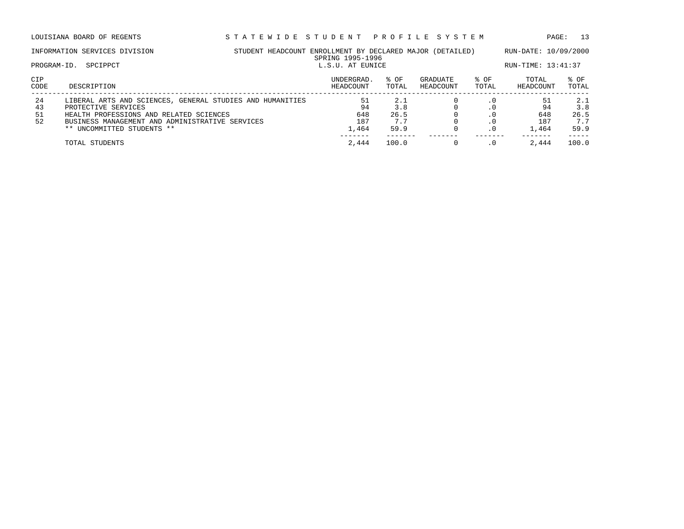| PROGRAM-ID.          | INFORMATION SERVICES DIVISION<br>SPCIPPCT                                                                                                                                                                    | STUDENT HEADCOUNT ENROLLMENT BY DECLARED MAJOR (DETAILED)<br>SPRING 1995-1996<br>L.S.U. AT EUNICE |                                 | RUN-DATE: 10/09/2000<br>RUN-TIME: 13:41:37 |                       |                  |                                 |                                   |
|----------------------|--------------------------------------------------------------------------------------------------------------------------------------------------------------------------------------------------------------|---------------------------------------------------------------------------------------------------|---------------------------------|--------------------------------------------|-----------------------|------------------|---------------------------------|-----------------------------------|
| CIP<br>CODE          | DESCRIPTION                                                                                                                                                                                                  |                                                                                                   | UNDERGRAD.<br>HEADCOUNT         | % OF<br>TOTAL                              | GRADUATE<br>HEADCOUNT | % OF<br>TOTAL    | TOTAL<br>HEADCOUNT              | $8$ OF<br>TOTAL                   |
| 24<br>43<br>51<br>52 | LIBERAL ARTS AND SCIENCES, GENERAL STUDIES AND HUMANITIES<br>PROTECTIVE SERVICES<br>HEALTH PROFESSIONS AND RELATED SCIENCES<br>BUSINESS MANAGEMENT AND ADMINISTRATIVE SERVICES<br>** UNCOMMITTED STUDENTS ** |                                                                                                   | 51<br>94<br>648<br>187<br>1,464 | 2.1<br>3.8<br>26.5<br>7.7<br>59.9          |                       | $\cdot$ 0<br>. 0 | 51<br>94<br>648<br>187<br>1,464 | 2.1<br>3.8<br>26.5<br>7.7<br>59.9 |
|                      | TOTAL STUDENTS                                                                                                                                                                                               |                                                                                                   | 2,444                           | 100.0                                      |                       | $\cdot$ 0        | 2,444                           | 100.0                             |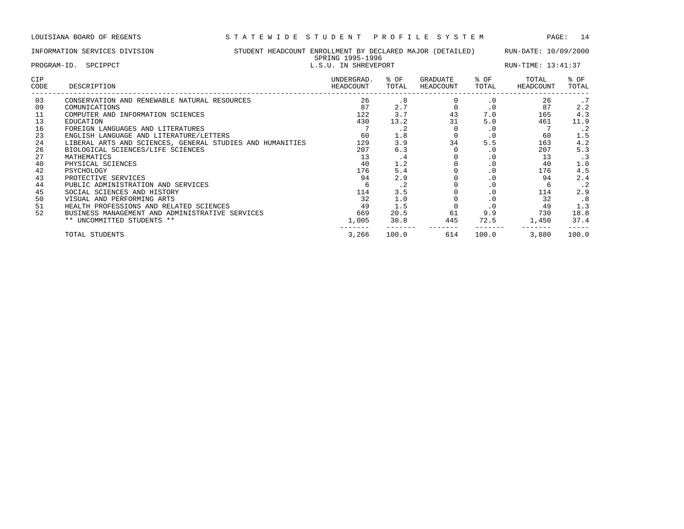## INFORMATION SERVICES DIVISION STUDENT HEADCOUNT ENROLLMENT BY DECLARED MAJOR (DETAILED) RUN-DATE: 10/09/2000 SPRING 1995-1996<br>L.S.II. IN SUPEVEDOPT

| PROGRAM-ID. SPCIPPCT |                                                           |                         | L.S.U. IN SHREVEPORT |                       |               | RUN-TIME: 13:41:37 |               |  |
|----------------------|-----------------------------------------------------------|-------------------------|----------------------|-----------------------|---------------|--------------------|---------------|--|
| <b>CIP</b><br>CODE   | DESCRIPTION                                               | UNDERGRAD.<br>HEADCOUNT | % OF<br>TOTAL        | GRADUATE<br>HEADCOUNT | % OF<br>TOTAL | TOTAL<br>HEADCOUNT | % OF<br>TOTAL |  |
| 03                   | CONSERVATION AND RENEWABLE NATURAL RESOURCES              | 26                      | .8                   |                       | $\cdot$ 0     | 26                 | .7            |  |
| 09                   | COMUNICATIONS                                             | 87                      | 2.7                  |                       | $\cdot$ 0     | 87                 | 2.2           |  |
| 11                   | COMPUTER AND INFORMATION SCIENCES                         | 122                     | 3.7                  | 43                    | 7.0           | 165                | 4.3           |  |
| 13                   | EDUCATION                                                 | 430                     | 13.2                 | 31                    | 5.0           | 461                | 11.9          |  |
| 16                   | FOREIGN LANGUAGES AND LITERATURES                         |                         | $\cdot$ 2            |                       | . 0           |                    | $\cdot$ 2     |  |
| 23                   | ENGLISH LANGUAGE AND LITERATURE/LETTERS                   | 60                      | 1.8                  |                       | $\cdot$ 0     | 60                 | 1.5           |  |
| 24                   | LIBERAL ARTS AND SCIENCES, GENERAL STUDIES AND HUMANITIES | 129                     | 3.9                  | 34                    | 5.5           | 163                | 4.2           |  |
| 26                   | BIOLOGICAL SCIENCES/LIFE SCIENCES                         | 207                     | 6.3                  |                       | $\cdot$ 0     | 207                | 5.3           |  |
| 27                   | MATHEMATICS                                               | 13                      | . 4                  |                       | . 0           | 13                 | $\cdot$ 3     |  |
| 40                   | PHYSICAL SCIENCES                                         | 40                      | 1.2                  |                       |               | 40                 | 1.0           |  |
| 42                   | PSYCHOLOGY                                                | 176                     | 5.4                  |                       |               | 176                | 4.5           |  |
| 43                   | PROTECTIVE SERVICES                                       | 94                      | 2.9                  |                       | $\cdot$ 0     | 94                 | 2.4           |  |
| 44                   | PUBLIC ADMINISTRATION AND SERVICES                        |                         | $\cdot$ 2            |                       | $\cdot$ 0     | 6                  | $\cdot$ 2     |  |
| 45                   | SOCIAL SCIENCES AND HISTORY                               | 114                     | 3.5                  |                       | $\cdot$ 0     | 114                | 2.9           |  |
| 50                   | VISUAL AND PERFORMING ARTS                                | 32                      | 1.0                  |                       | $\cdot$ 0     | 32                 | .8            |  |
| 51                   | HEALTH PROFESSIONS AND RELATED SCIENCES                   | 49                      | 1.5                  |                       | $\cdot$ 0     | 49                 | 1.3           |  |
| 52                   | BUSINESS MANAGEMENT AND ADMINISTRATIVE SERVICES           | 669                     | 20.5                 | 61                    | 9.9           | 730                | 18.8          |  |
|                      | ** UNCOMMITTED STUDENTS **                                | 1,005                   | 30.8                 | 445                   | 72.5          | 1,450              | 37.4          |  |

TOTAL STUDENTS 3,266 100.0 614 100.0 3,880 100.0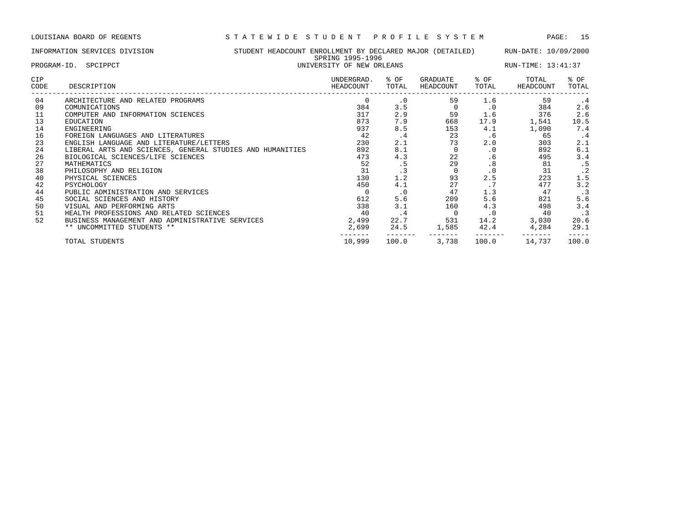| INFORMATION SERVICES DIVISION | STUDENT HEADCOUNT ENROLLMENT BY DECLARED MAJOR (DETAILED) |                                        | RUN-DATE: 10/09/2000 |               |
|-------------------------------|-----------------------------------------------------------|----------------------------------------|----------------------|---------------|
| PROGRAM-ID. SPCIPPCT          | SPRING 1995-1996<br>UNIVERSITY OF NEW ORLEANS             |                                        | RUN-TIME: 13:41:37   |               |
| CIP<br>CODE<br>DESCRIPTION    | UNDERGRAD.<br>% OF<br>HEADCOUNT<br>TOTAL                  | GRADUATE<br>% OF<br>TOTAL<br>HEADCOUNT | TOTAL<br>HEADCOUNT   | % OF<br>TOTAL |

| 04 | ARCHITECTURE AND RELATED PROGRAMS                         |        | $\cdot$ 0 | 59    | 1.6              | 59     | . 4       |
|----|-----------------------------------------------------------|--------|-----------|-------|------------------|--------|-----------|
| 09 | COMUNICATIONS                                             | 384    | 3.5       |       | $\cdot$ 0        | 384    | 2.6       |
| 11 | COMPUTER AND INFORMATION SCIENCES                         | 317    | 2.9       | 59    | 1.6              | 376    | 2.6       |
| 13 | EDUCATION                                                 | 873    | 7.9       | 668   | 17.9             | 1,541  | 10.5      |
| 14 | ENGINEERING                                               | 937    | 8.5       | 153   | 4.1              | 1,090  | 7.4       |
| 16 | FOREIGN LANGUAGES AND LITERATURES                         | 42     | $\cdot$ 4 | 23    | . 6              | 65     | $\cdot$ 4 |
| 23 | ENGLISH LANGUAGE AND LITERATURE/LETTERS                   | 230    | 2.1       | 73    | 2.0              | 303    | 2.1       |
| 24 | LIBERAL ARTS AND SCIENCES, GENERAL STUDIES AND HUMANITIES | 892    | 8.1       |       | . 0              | 892    | 6.1       |
| 26 | BIOLOGICAL SCIENCES/LIFE SCIENCES                         | 473    | 4.3       | 22    | . 6              | 495    | 3.4       |
| 27 | MATHEMATICS                                               | 52     | . 5       | 29    | .8               | 81     | . 5       |
| 38 | PHILOSOPHY AND RELIGION                                   | 31     | . 3       |       | $\cdot$ 0        | 31     | . 2       |
| 40 | PHYSICAL SCIENCES                                         | 130    | 1.2       | 93    | 2.5              | 223    | 1.5       |
| 42 | PSYCHOLOGY                                                | 450    | 4.1       | 27    | $\cdot$ $\prime$ | 477    | 3.2       |
| 44 | PUBLIC ADMINISTRATION AND SERVICES                        |        | $\cdot$ 0 | 47    | 1.3              | 47     | $\cdot$ 3 |
| 45 | SOCIAL SCIENCES AND HISTORY                               | 612    | 5.6       | 209   | 5.6              | 821    | 5.6       |
| 50 | VISUAL AND PERFORMING ARTS                                | 338    | 3.1       | 160   | 4.3              | 498    | 3.4       |
| 51 | HEALTH PROFESSIONS AND RELATED SCIENCES                   | 40     | . 4       |       | $\cdot$ 0        | 40     | $\cdot$ 3 |
| 52 | BUSINESS MANAGEMENT AND ADMINISTRATIVE SERVICES           | 2,499  | 22.7      | 531   | 14.2             | 3,030  | 20.6      |
|    | ** UNCOMMITTED STUDENTS **                                | 2,699  | 24.5      | 1,585 | 42.4             | 4,284  | 29.1      |
|    | TOTAL STUDENTS                                            | 10,999 | 100.0     | 3,738 | 100.0            | 14,737 | 100.0     |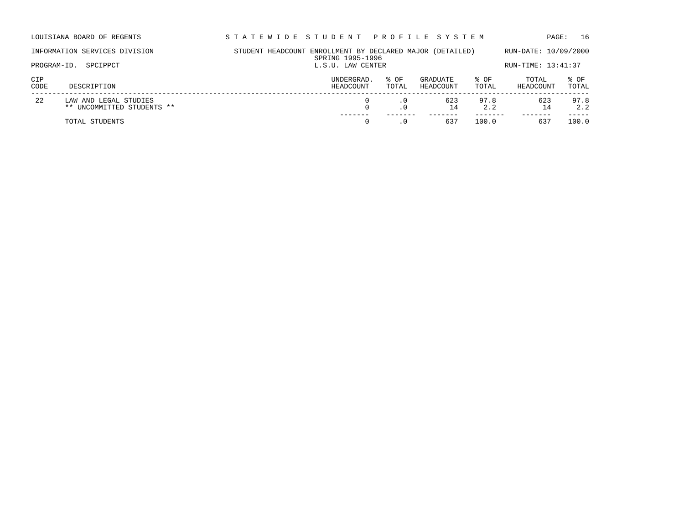| LOUISIANA BOARD OF REGENTS                                | STATEWIDE STUDENT PROFILE SYSTEM                          |                         |               |                       |               | PAGE:                     | 16            |
|-----------------------------------------------------------|-----------------------------------------------------------|-------------------------|---------------|-----------------------|---------------|---------------------------|---------------|
| INFORMATION SERVICES DIVISION                             | STUDENT HEADCOUNT ENROLLMENT BY DECLARED MAJOR (DETAILED) | SPRING 1995-1996        |               |                       |               | RUN-DATE: 10/09/2000      |               |
| SPCIPPCT<br>PROGRAM-ID.                                   |                                                           | L.S.U. LAW CENTER       |               |                       |               | RUN-TIME: 13:41:37        |               |
| CIP<br>CODE<br>DESCRIPTION                                |                                                           | UNDERGRAD.<br>HEADCOUNT | % OF<br>TOTAL | GRADUATE<br>HEADCOUNT | % OF<br>TOTAL | TOTAL<br><b>HEADCOUNT</b> | % OF<br>TOTAL |
| 22<br>LAW AND LEGAL STUDIES<br>** UNCOMMITTED STUDENTS ** |                                                           |                         | $\cdot$ 0     | 623<br>14             | 97.8<br>2.2   | 623<br>14                 | 97.8<br>2.2   |

TOTAL STUDENTS 0 .0 637 100.0 637 100.0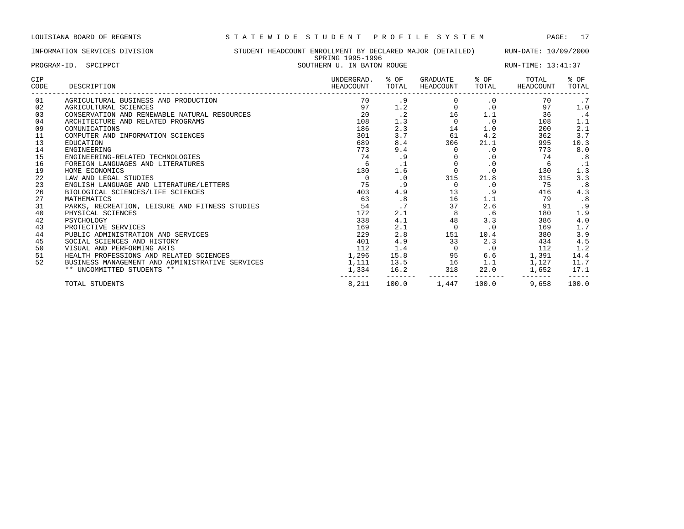## INFORMATION SERVICES DIVISION STUDENT HEADCOUNT ENROLLMENT BY DECLARED MAJOR (DETAILED) RUN-DATE: 10/09/2000 SPRING 1995-1996 PROGRAM-ID. SPCIPPCT SOUTHERN U. IN BATON ROUGE RUN-TIME: 13:41:37

| PROGRAM-ID. SPCIPPCI |                                                 |                         | SOUIHERN U. IN BAION ROUGE |                            |           | KUN-TIME: 13:41:37 |               |  |  |
|----------------------|-------------------------------------------------|-------------------------|----------------------------|----------------------------|-----------|--------------------|---------------|--|--|
| CIP<br>CODE          | DESCRIPTION                                     | UNDERGRAD.<br>HEADCOUNT | % OF<br>TOTAL              | GRADUATE % OF<br>HEADCOUNT | TOTAL     | TOTAL<br>HEADCOUNT | % OF<br>TOTAL |  |  |
| 01                   | AGRICULTURAL BUSINESS AND PRODUCTION            | 70                      | .9                         |                            | $\cdot$ 0 | 70                 | .7            |  |  |
| 02                   | AGRICULTURAL SCIENCES                           | 97                      | 1.2                        | $\Omega$                   | $\cdot$ 0 | 97                 | 1.0           |  |  |
| 03                   | CONSERVATION AND RENEWABLE NATURAL RESOURCES    | 20                      | $\cdot$ 2                  | 16                         | 1.1       | 36                 | $\cdot$ 4     |  |  |
| 04                   | ARCHITECTURE AND RELATED PROGRAMS               | 108                     | 1.3                        | $\overline{0}$             | $\cdot$ 0 | 108                | 1.1           |  |  |
| 09                   | COMUNICATIONS                                   | 186                     | 2.3                        | 14                         | 1.0       | 200                | 2.1           |  |  |
| 11                   | COMPUTER AND INFORMATION SCIENCES               | 301                     | 3.7                        | 61                         | 4.2       | 362                | 3.7           |  |  |
| 13                   | EDUCATION                                       | 689                     | 8.4                        | 306                        |           | 21.1<br>995        | 10.3          |  |  |
| 14                   | ENGINEERING                                     | 773                     | 9.4                        | $\Omega$                   | $\cdot$ 0 | 773                | 8.0           |  |  |
| 15                   | ENGINEERING-RELATED TECHNOLOGIES                | 74                      | .9                         |                            | $\cdot$ 0 | 74                 | .8            |  |  |
| 16                   | FOREIGN LANGUAGES AND LITERATURES               | 6                       |                            | $\overline{0}$             | $\cdot$ 0 | 6                  | $\cdot$ 1     |  |  |
| 19                   | HOME ECONOMICS                                  | 130                     | 1.6                        | $\overline{0}$             | $\cdot$ 0 | 130                | 1.3           |  |  |
| 22                   | LAW AND LEGAL STUDIES                           | $\Omega$                | $\cdot$ 0                  | 315                        | 21.8      | 315                | 3.3           |  |  |
| 23                   | ENGLISH LANGUAGE AND LITERATURE/LETTERS         | 75                      | .9                         | 0                          | $\cdot$ 0 | 75                 | .8            |  |  |
| 26                   | BIOLOGICAL SCIENCES/LIFE SCIENCES               | 403                     | 4.9                        | 13                         | .9        | 416                | 4.3           |  |  |
| 27                   | MATHEMATICS                                     | 63                      | .8                         | 16                         | 1.1       | 79                 | .8            |  |  |
| 31                   | PARKS, RECREATION, LEISURE AND FITNESS STUDIES  | 54                      | .7                         | 37                         |           | 2.6<br>91          | .9            |  |  |
| 40                   | PHYSICAL SCIENCES                               | 172                     | 2.1                        | 8                          | .6        | 180                | 1.9           |  |  |
| 42                   | PSYCHOLOGY                                      | 338                     | 4.1                        | 48                         | 3.3       | 386                | 4.0           |  |  |
| 43                   | PROTECTIVE SERVICES                             | 169                     | 2.1                        | $\mathbf 0$                | $\cdot$ 0 | 169                | 1.7           |  |  |
| 44                   | PUBLIC ADMINISTRATION AND SERVICES              | 229                     | 2.8                        | 151                        | 10.4      | 380                | 3.9           |  |  |
| 45                   | SOCIAL SCIENCES AND HISTORY                     | 401                     | 4.9                        | 33                         | 2.3       | 434                | 4.5           |  |  |
| 50                   | VISUAL AND PERFORMING ARTS                      | 112                     | 1.4                        | $\overline{0}$             | $\cdot$ 0 | 112                | 1.2           |  |  |
| 51                   | HEALTH PROFESSIONS AND RELATED SCIENCES         | 1,296                   | 15.8                       | 95                         | 6.6       | 1,391              | 14.4          |  |  |
| 52                   | BUSINESS MANAGEMENT AND ADMINISTRATIVE SERVICES | 1,111                   |                            | 13.5 16                    | 1.1       | 1,127              | 11.7          |  |  |
|                      | ** UNCOMMITTED STUDENTS **                      |                         | 1,334 16.2                 | 318<br>$- - - - - - - -$   |           | 22.0 1,652         | 17.1          |  |  |
|                      | TOTAL STUDENTS                                  | 8,211                   |                            | 100.0 1,447                | 100.0     | 9,658              | 100.0         |  |  |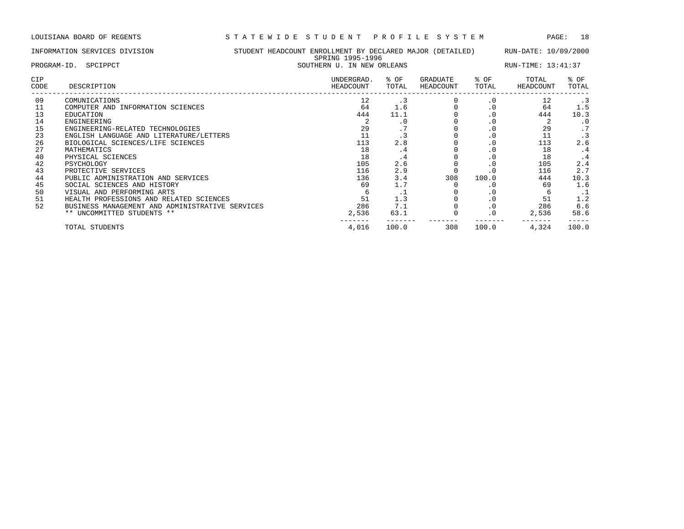------- ------- ------- ------- ------- -----

|                    | INFORMATION SERVICES DIVISION           | STUDENT HEADCOUNT ENROLLMENT BY DECLARED MAJOR (DETAILED)<br>SPRING 1995-1996 |                         |                |                       |               | RUN-DATE: 10/09/2000 |               |  |
|--------------------|-----------------------------------------|-------------------------------------------------------------------------------|-------------------------|----------------|-----------------------|---------------|----------------------|---------------|--|
|                    | PROGRAM-ID. SPCIPPCT                    | SOUTHERN U. IN NEW ORLEANS                                                    |                         |                |                       |               | RUN-TIME: 13:41:37   |               |  |
| <b>CIP</b><br>CODE | DESCRIPTION                             |                                                                               | UNDERGRAD.<br>HEADCOUNT | % OF<br>TOTAL  | GRADUATE<br>HEADCOUNT | % OF<br>TOTAL | TOTAL<br>HEADCOUNT   | % OF<br>TOTAL |  |
| 09                 | COMUNICATIONS                           |                                                                               | 12                      | $\cdot$ 3      |                       | $\cdot$ 0     | 12                   | .3            |  |
| 11                 | COMPUTER AND INFORMATION SCIENCES       |                                                                               | 64                      | 1.6            |                       | $\cdot$ 0     | 64                   | 1.5           |  |
| 13                 | EDUCATION                               |                                                                               | 444                     | 11.1           |                       | $\cdot$ 0     | 444                  | 10.3          |  |
| 14                 | ENGINEERING                             |                                                                               |                         | . 0            |                       | $\cdot$ 0     |                      | $\cdot$ 0     |  |
| 15                 | ENGINEERING-RELATED TECHNOLOGIES        |                                                                               | 29                      | $\sim$ $\sim$  |                       | $\cdot$ 0     | 29                   | .7            |  |
| 23                 | ENGLISH LANGUAGE AND LITERATURE/LETTERS |                                                                               |                         | . 3            |                       | . 0           | 11                   |               |  |
| 26                 | BIOLOGICAL SCIENCES/LIFE SCIENCES       |                                                                               | 113                     | 2.8            |                       | . 0           | 113                  | 2.6           |  |
| 27                 | MATHEMATICS                             |                                                                               | 18                      | . 4            |                       | $\cdot$ 0     | 18                   | $\cdot$ 4     |  |
| 40                 | PHYSICAL SCIENCES                       |                                                                               | 18                      | . 4            |                       | $\cdot$ 0     | 18                   | $\cdot$ 4     |  |
| 42                 | PSYCHOLOGY                              |                                                                               | 105                     | 2.6            |                       | . 0           | 105                  | 2.4           |  |
| 43                 | PROTECTIVE SERVICES                     |                                                                               | 116                     | 2.9            |                       |               | 116                  | 2.7           |  |
| 44                 | PUBLIC ADMINISTRATION AND SERVICES      |                                                                               | 136                     | 3.4            | 308                   | 100.0         | 444                  | 10.3          |  |
| 45                 | SOCIAL SCIENCES AND HISTORY             |                                                                               | 69                      | 1.7            |                       | . 0           | 69                   | 1.6           |  |
| 50                 | VISUAL AND PERFORMING ARTS              |                                                                               |                         | $\cdot$ $\bot$ |                       | . 0           |                      | $\cdot$ 1     |  |
| 51                 | HEALTH PROFESSIONS AND RELATED SCIENCES |                                                                               | 51                      | 1.3            |                       | $\cdot$ 0     | 51                   | 1.2           |  |

 BUSINESS MANAGEMENT AND ADMINISTRATIVE SERVICES 286 7.1 0 .0 286 6.6 \*\* UNCOMMITTED STUDENTS \*\* 2,536 63.1 0 .0 2,536 58.6

TOTAL STUDENTS 4,016 100.0 308 100.0 4,324 100.0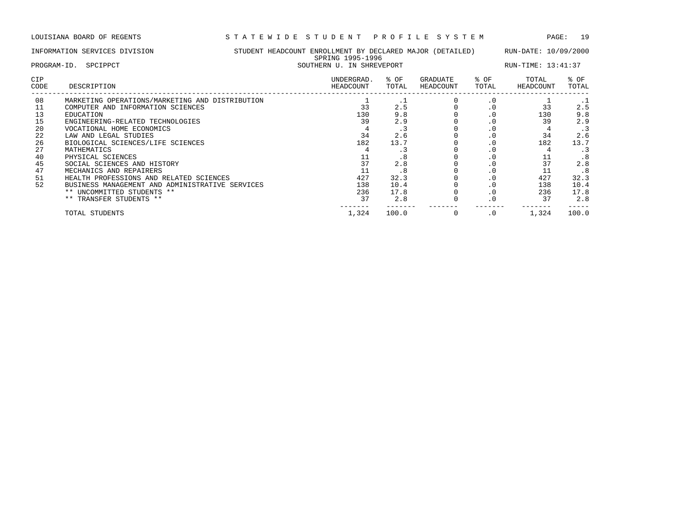LOUISIANA BOARD OF REGENTS S T A T E W I D E S T U D E N T P R O F I L E S Y S T E M PAGE: 19

|             | INFORMATION SERVICES DIVISION                                                        | STUDENT HEADCOUNT ENROLLMENT BY DECLARED MAJOR (DETAILED) | SPRING 1995-1996          |               |                              |               | RUN-DATE: 10/09/2000 |               |
|-------------|--------------------------------------------------------------------------------------|-----------------------------------------------------------|---------------------------|---------------|------------------------------|---------------|----------------------|---------------|
| PROGRAM-ID. | SPCIPPCT                                                                             |                                                           | SOUTHERN U. IN SHREVEPORT |               |                              |               | RUN-TIME: 13:41:37   |               |
| CIP<br>CODE | DESCRIPTION                                                                          |                                                           | UNDERGRAD.<br>HEADCOUNT   | % OF<br>TOTAL | <b>GRADUATE</b><br>HEADCOUNT | % OF<br>TOTAL | TOTAL<br>HEADCOUNT   | % OF<br>TOTAL |
| 08          | MARKETING OPERATIONS/MARKETING AND DISTRIBUTION<br>COMPUTER AND INFORMATION SCIENCES |                                                           |                           | 2.5           |                              |               |                      | 2.5           |

| 08 | MARKETING OPERATIONS/MARKETING AND DISTRIBUTION |       | . .   | . u |       |       |
|----|-------------------------------------------------|-------|-------|-----|-------|-------|
|    | COMPUTER AND INFORMATION SCIENCES               | 33    | 2.5   | . v | 33    | 2.5   |
| 13 | EDUCATION                                       | 130   | 9.8   | . v | 130   | 9.8   |
| 15 | ENGINEERING-RELATED TECHNOLOGIES                | 39    | 2.9   | . v | 39    | 2.9   |
| 20 | VOCATIONAL HOME ECONOMICS                       |       |       |     |       |       |
| 22 | LAW AND LEGAL STUDIES                           | 34    | 2.6   | . U | 34    | 2.6   |
| 26 | BIOLOGICAL SCIENCES/LIFE SCIENCES               | 182   | 13.7  | . v | 182   | 13.7  |
| 27 | MATHEMATICS                                     |       |       |     |       |       |
| 40 | PHYSICAL SCIENCES                               | ᆠᅶ    |       | . v | ᆂᆂ    | .8    |
| 45 | SOCIAL SCIENCES AND HISTORY                     | 37    | 2.8   |     |       | 2.8   |
| 47 | MECHANICS AND REPAIRERS                         |       | . ర   | . U |       | . 8   |
| 51 | HEALTH PROFESSIONS AND RELATED SCIENCES         | 427   | 32.3  |     | 427   | 32.3  |
| 52 | BUSINESS MANAGEMENT AND ADMINISTRATIVE SERVICES | 138   | 10.4  |     | 138   | 10.4  |
|    | ** UNCOMMITTED STUDENTS **                      | 236   | 17.8  | . v | 236   | 17.8  |
|    | ** TRANSFER STUDENTS **                         | 37    | 2.8   |     | 37    | 2.8   |
|    | TOTAL STUDENTS                                  | 1,324 | 100.0 |     | 1,324 | 100.0 |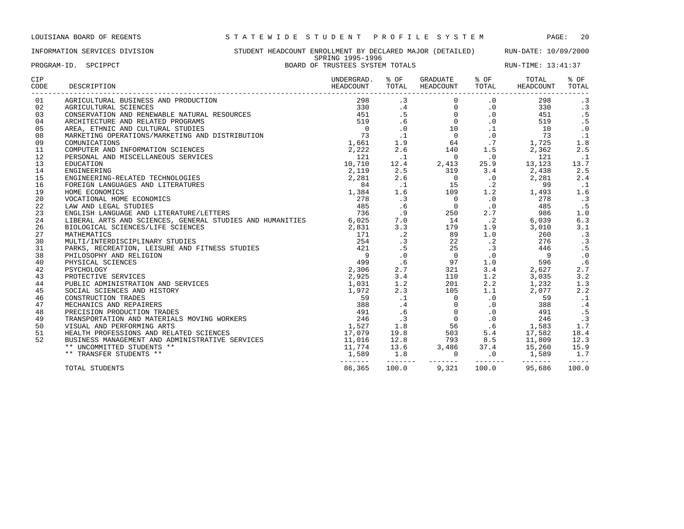INFORMATION SERVICES DIVISION STUDENT HEADCOUNT ENROLLMENT BY DECLARED MAJOR (DETAILED) RUN-DATE: 10/09/2000 SPRING 1995-1996 PROGRAM-ID. SPCIPPCT BOARD OF TRUSTEES SYSTEM TOTALS RUN-TIME: 13:41:37

| <b>CIP</b><br>CODE | DESCRIPTION                                                     | UNDERGRAD.<br>HEADCOUNT | % OF<br>TOTAL            | GRADUATE<br>HEADCOUNT                    | % OF<br>TOTAL            | TOTAL<br>HEADCOUNT | % OF<br>TOTAL        |
|--------------------|-----------------------------------------------------------------|-------------------------|--------------------------|------------------------------------------|--------------------------|--------------------|----------------------|
| 01                 | AGRICULTURAL BUSINESS AND PRODUCTION                            | 298                     | $\cdot$ 3                | $\Omega$                                 | $\cdot$ 0                | 298                | $\cdot$ 3            |
| 02                 | AGRICULTURAL SCIENCES                                           | 330                     | .4                       | $\overline{0}$                           | $\cdot$ 0                | 330                | .3                   |
| 03                 | CONSERVATION AND RENEWABLE NATURAL RESOURCES                    | 451                     | .5                       | $\Omega$                                 | $\cdot$ 0                | 451                | .5                   |
| 04                 | ARCHITECTURE AND RELATED PROGRAMS                               | 519                     | .6                       | $0 \qquad \qquad$                        | $\cdot$ 0                | 519                | .5                   |
| 05                 | AREA, ETHNIC AND CULTURAL STUDIES                               | $\overline{0}$          | $\cdot$ 0                | 10                                       | $\cdot$ 1                | 10                 | $\cdot$ 0            |
| 08                 | MARKETING OPERATIONS/MARKETING AND DISTRIBUTION                 | 73                      | $\cdot$ 1                | $\overline{0}$                           | $\cdot$ 0                | 73                 | $\cdot$ 1            |
| 09                 | COMUNICATIONS                                                   | 1,661                   | 1.9                      | 64                                       | .7                       | 1,725              | 1.8                  |
| 11                 | COMPUTER AND INFORMATION SCIENCES                               | 2,222                   | 2.6                      | 140                                      | 1.5                      | 2,362              | 2.5                  |
| 12                 | PERSONAL AND MISCELLANEOUS SERVICES                             | 121                     | $\cdot$ 1                | $\overline{0}$                           | $\cdot$ 0                | 121                | $\ldots$ 1           |
| 13                 | EDUCATION                                                       | 10,710                  | 12.4                     | 2,413                                    | 25.9                     | 13,123             | 13.7                 |
| 14                 | ENGINEERING                                                     | 2,119                   | 2.5                      | 319                                      | 3.4                      | 2,438              | 2.5                  |
| 15                 | ENGINEERING-RELATED TECHNOLOGIES                                | 2,281                   | 2.6                      | $\overline{0}$                           | $\cdot$ 0                | 2,281              | 2.4                  |
| 16                 | FOREIGN LANGUAGES AND LITERATURES                               | 84                      | $\cdot$ 1                | 15                                       | $\cdot$ 2                | 99                 | . 1                  |
| 19                 | HOME ECONOMICS                                                  | 1,384                   | 1.6                      | 109                                      | 1.2                      | 1,493              | 1.6                  |
| 20                 | VOCATIONAL HOME ECONOMICS                                       | 278                     | .3                       | $\bigcirc$                               | $\cdot$ 0                | 278                | $\cdot$ 3            |
| 22                 | LAW AND LEGAL STUDIES                                           | 485                     | .6                       | $\overline{0}$                           | $\cdot$ 0                | 485                | . 5                  |
| 23                 | ENGLISH LANGUAGE AND LITERATURE/LETTERS                         | 736                     | .9                       | 250                                      | 2.7                      | 986                | 1.0                  |
| 24                 | LIBERAL ARTS AND SCIENCES, GENERAL STUDIES AND HUMANITIES 6,025 |                         | 7.0                      | $\begin{array}{c} 250 \\ 14 \end{array}$ | $\cdot$ . 2              | 6,039              | 6.3                  |
| 26                 | BIOLOGICAL SCIENCES/LIFE SCIENCES                               | 2,831                   | 3.3                      | 179                                      | 1.9                      | 3,010              | 3.1                  |
| 27                 | MATHEMATICS                                                     | 171                     | $\cdot$ 2                | 89                                       | 1.0                      | 260                | .3                   |
| 30                 | MULTI/INTERDISCIPLINARY STUDIES                                 | 254                     | .3                       | 22                                       | $\cdot$ 2                | 276                | .3                   |
| 31                 | PARKS, RECREATION, LEISURE AND FITNESS STUDIES                  | 421                     | .5                       | 25                                       | .3                       | 446                | .5                   |
| 38                 | PHILOSOPHY AND RELIGION                                         | 9                       | $\cdot$ 0                | $\overline{0}$                           | $\cdot$ 0                | 9                  | $\cdot$ 0            |
| 40                 | PHYSICAL SCIENCES                                               | 499                     | .6                       | 97                                       | 1.0                      | 596                | .6                   |
| 42                 | PSYCHOLOGY                                                      | 2,306                   | 2.7                      | 321                                      | 3.4                      | 2,627              | 2.7                  |
| 43                 | PROTECTIVE SERVICES                                             | 2,925                   | 3.4                      | 110                                      | 1.2                      | 3,035              | 3.2                  |
| 44                 | PUBLIC ADMINISTRATION AND SERVICES                              | 1,031                   | 1.2                      | 201                                      | 2.2                      | 1,232              | 1.3                  |
| 45                 | SOCIAL SCIENCES AND HISTORY                                     | 1,972                   | 2.3                      | 105                                      | 1.1                      | 2,077              | 2.2                  |
| 46                 | CONSTRUCTION TRADES                                             | 59                      | $\cdot$ 1                | $\Omega$                                 | $\cdot$ 0                | 59                 | $\cdot$ 1            |
| 47                 | MECHANICS AND REPAIRERS                                         | 388                     | .4                       | $\overline{0}$                           | $\cdot$ 0                | 388                | .4                   |
| 48                 | PRECISION PRODUCTION TRADES                                     | 491                     | .6                       | 0                                        | $\cdot$ 0                | 491                | .5                   |
| 49                 | TRANSPORTATION AND MATERIALS MOVING WORKERS                     | 246                     | .3                       | $\begin{matrix} 0 \\ 0 \end{matrix}$     | $\cdot$ 0                | 246                | $\cdot$ 3            |
| 50                 | VISUAL AND PERFORMING ARTS                                      | 1,527                   | 1.8                      | 56                                       | .6                       | 1,583              | 1.7                  |
| 51                 | HEALTH PROFESSIONS AND RELATED SCIENCES                         | 17,079                  | 19.8                     | 503                                      | 5.4                      | 17,582             | 18.4                 |
| 52                 | BUSINESS MANAGEMENT AND ADMINISTRATIVE SERVICES                 | 11,016                  | 12.8                     | 793                                      | 8.5                      | 11,809             | 12.3                 |
|                    | ** UNCOMMITTED STUDENTS **                                      | 11,774                  | 13.6                     | 3,486                                    | 37.4                     | 15,260             | 15.9                 |
|                    | ** TRANSFER STUDENTS **                                         | 1,589                   | 1.8                      | $\overline{0}$                           | .0                       | 1,589              | 1.7                  |
|                    | TOTAL STUDENTS                                                  | --------<br>86,365      | $- - - - - - -$<br>100.0 | --------<br>9,321                        | $- - - - - - -$<br>100.0 | --------<br>95,686 | $- - - - -$<br>100.0 |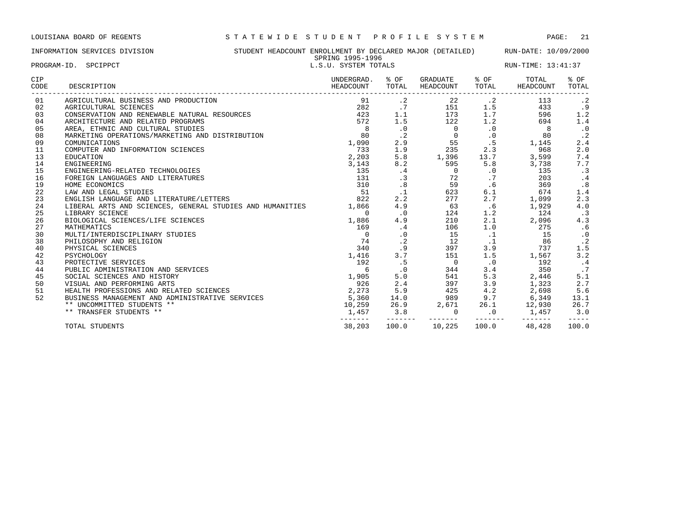## INFORMATION SERVICES DIVISION STUDENT HEADCOUNT ENROLLMENT BY DECLARED MAJOR (DETAILED) RUN-DATE: 10/09/2000 SPRING 1995-1996<br>L.S.U. SYSTEM TOTALS סצע בער שטעו-כעצע שטעריכע באנגריפט (L.S.U. SYSTEM TOTALS PROGRAM-ID. SPCIPPCT (23:41:37 EUN-TIME: 13:41:37

| PROGRAM-ID. | SPCIPPCT |
|-------------|----------|
|             |          |

| CIP<br>CODE | DESCRIPTION                                                     | UNDERGRAD.<br>HEADCOUNT | % OF<br>TOTAL | GRADUATE<br>HEADCOUNT | % OF<br>TOTAL    | TOTAL<br>HEADCOUNT | % OF<br>TOTAL |
|-------------|-----------------------------------------------------------------|-------------------------|---------------|-----------------------|------------------|--------------------|---------------|
| 01          | AGRICULTURAL BUSINESS AND PRODUCTION                            | 91                      | $\cdot$ 2     |                       | $22$ $\cdot$ $2$ | 113                | $\cdot$ 2     |
| 02          | AGRICULTURAL SCIENCES                                           | 282                     | .7            | 151                   | 1.5              | 433                | .9            |
| 03          | CONSERVATION AND RENEWABLE NATURAL RESOURCES                    | 423                     | 1.1           | 173                   | 1.7              | 596                | 1.2           |
| 04          | ARCHITECTURE AND RELATED PROGRAMS                               | 572                     | 1.5           | 122                   | 1.2              | 694                | 1.4           |
| 05          | AREA, ETHNIC AND CULTURAL STUDIES                               | 8 <sup>8</sup>          | $\cdot$ 0     | $\mathbf{0}$          | $\cdot$ 0        | 8 <sup>8</sup>     | $\cdot$ 0     |
| 08          | MARKETING OPERATIONS/MARKETING AND DISTRIBUTION                 | 80                      | $\cdot$ 2     | $\Omega$              | $\cdot$ 0        | 80                 | $\cdot$ 2     |
| 09          | COMUNICATIONS                                                   | 1,090                   | 2.9           |                       | 55<br>.5         | 1,145              | 2.4           |
| 11          | COMPUTER AND INFORMATION SCIENCES                               | 733                     | 1.9           | 235                   | 2.3              | 968                | 2.0           |
| 13          | EDUCATION                                                       | 2,203                   | 5.8           | 1,396                 | 13.7             | 3,599              | 7.4           |
| 14          | ENGINEERING                                                     | 3,143                   | 8.2           | 595                   | 5.8              | 3,738              | 7.7           |
| 15          | ENGINEERING-RELATED TECHNOLOGIES                                | 135                     | .4            | $\overline{0}$        | $\cdot$ 0        | 135                | $\cdot$ 3     |
| 16          | FOREIGN LANGUAGES AND LITERATURES                               | 131                     | .3            |                       | .7               | 203                | $\cdot$ 4     |
| 19          | HOME ECONOMICS                                                  | 310                     | .8            | $\frac{72}{59}$       | .6               | 369                | .8            |
| 22          | LAW AND LEGAL STUDIES                                           | 51                      | $\cdot$ 1     | 623                   | 6.1              | 674                | 1.4           |
| 23          | ENGLISH LANGUAGE AND LITERATURE/LETTERS                         | 822                     | 2.2           | 277                   | 2.7              | 1,099              | 2.3           |
| 24          | LIBERAL ARTS AND SCIENCES, GENERAL STUDIES AND HUMANITIES 1,866 |                         | 4.9           | 63                    | .6               | 1,929              | 4.0           |
| 25          | LIBRARY SCIENCE                                                 | $\Omega$                | $\cdot$ 0     | 124                   | 1.2              | 124                | $\cdot$ 3     |
| 26          | BIOLOGICAL SCIENCES/LIFE SCIENCES                               | 1,886                   | 4.9           | 210                   | 2.1              | 2,096              | 4.3           |
| 27          | MATHEMATICS                                                     | 169                     | .4            | 106                   | 1.0              | 275                | .6            |
| 30          | MULTI/INTERDISCIPLINARY STUDIES                                 | $\overline{0}$          | $\cdot$ 0     | 15                    | $\cdot$ 1        | 15                 | $\cdot$ 0     |
| 38          | PHILOSOPHY AND RELIGION                                         | 74                      | $\cdot$ 2     | 12                    | $\cdot$ 1        | 86                 | $\cdot$ 2     |
| 40          | PHYSICAL SCIENCES                                               | 340                     | .9            | 397                   | 3.9              | 737                | 1.5           |
| 42          | PSYCHOLOGY                                                      | 1,416                   | 3.7           | 151                   | 1.5              | 1,567              | 3.2           |
| 43          | PROTECTIVE SERVICES                                             | 192                     | . 5           | $\overline{0}$        | $\cdot$ 0        | 192                | $\cdot$ 4     |
| 44          | PUBLIC ADMINISTRATION AND SERVICES                              | 6                       | $\cdot$ 0     | 344                   | 3.4              | 350                | .7            |
| 45          | SOCIAL SCIENCES AND HISTORY                                     | 1,905                   | 5.0           | 541                   | 5.3              | 2,446              | 5.1           |
| 50          | VISUAL AND PERFORMING ARTS                                      | 926                     | 2.4           | 397                   | 3.9              | 1,323              | 2.7           |
| 51          | HEALTH PROFESSIONS AND RELATED SCIENCES                         | 2,273                   | 5.9           | 425                   | 4.2              | 2,698              | 5.6           |
| 52          | BUSINESS MANAGEMENT AND ADMINISTRATIVE SERVICES                 | 5,360                   | 14.0          | 989 — 1               |                  | 9.7 6,349          | 13.1          |
|             | ** UNCOMMITTED STUDENTS **                                      | 10,259                  | 26.9          | 2,671                 |                  | 26.1 12,930        | 26.7          |
|             | ** TRANSFER STUDENTS **                                         | 1,457                   | 3.8           | $\mathbf 0$           | $\sim$ 0         | 1,457              | 3.0           |
|             | TOTAL STUDENTS                                                  | 38,203                  | 100.0         | 10,225                | 100.0            | 48,428             | 100.0         |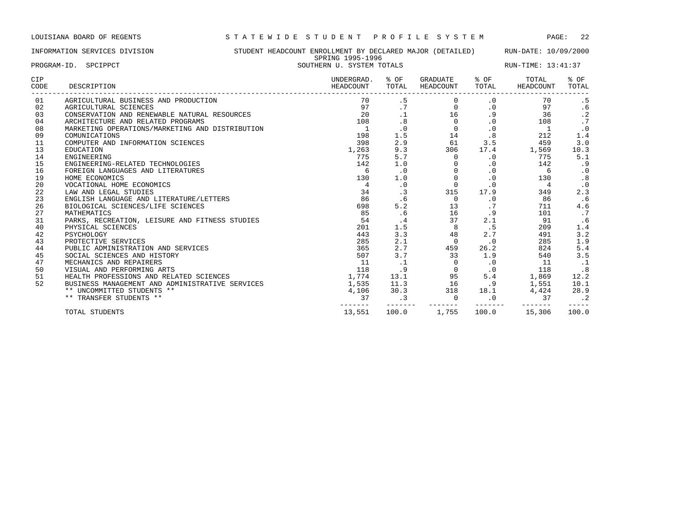INFORMATION SERVICES DIVISION STUDENT HEADCOUNT ENROLLMENT BY DECLARED MAJOR (DETAILED) RUN-DATE: 10/09/2000 SPRING 1995-1996<br>SOUTHERN U. SYSTEM TOTALS PROGRAM-ID. SPCIPPCT SOUTHERN U. SYSTEM TOTALS RUN-TIME: 13:41:37

| CIP<br>CODE | DESCRIPTION                                     | UNDERGRAD.<br>HEADCOUNT | % OF<br>TOTAL | GRADUATE<br><b>HEADCOUNT</b> | % OF<br>TOTAL | TOTAL<br>HEADCOUNT | % OF<br>TOTAL |
|-------------|-------------------------------------------------|-------------------------|---------------|------------------------------|---------------|--------------------|---------------|
| 01          | AGRICULTURAL BUSINESS AND PRODUCTION            | 70                      | . 5           | 0                            | $\cdot$ 0     | 70                 | .5            |
| 02          | AGRICULTURAL SCIENCES                           | 97                      | .7            | $\Omega$                     | $\cdot$ 0     | 97                 | .6            |
| 03          | CONSERVATION AND RENEWABLE NATURAL RESOURCES    | 20                      |               | 16                           | .9            | 36                 | $\cdot$ 2     |
| 04          | ARCHITECTURE AND RELATED PROGRAMS               | 108                     | .8            | $\Omega$                     | $\cdot$ 0     | 108                | $\cdot$ 7     |
| 08          | MARKETING OPERATIONS/MARKETING AND DISTRIBUTION | 1                       | $\cdot$ 0     | $\Omega$                     | $\cdot$ 0     | 1                  | $\cdot$ 0     |
| 09          | COMUNICATIONS                                   | 198                     | 1.5           | 14                           | .8            | 212                | 1.4           |
| 11          | COMPUTER AND INFORMATION SCIENCES               | 398                     | 2.9           | 61                           | 3.5           | 459                | 3.0           |
| 13          | <b>EDUCATION</b>                                | 1,263                   | 9.3           | 306                          | 17.4          | 1,569              | 10.3          |
| 14          | <b>ENGINEERING</b>                              | 775                     | 5.7           | $\Omega$                     | $\cdot$ 0     | 775                | 5.1           |
| 15          | ENGINEERING-RELATED TECHNOLOGIES                | 142                     | 1.0           |                              | $\cdot$ 0     | 142                | . 9           |
| 16          | FOREIGN LANGUAGES AND LITERATURES               | 6                       | $\cdot$ 0     | $\Omega$                     | $\cdot$ 0     | 6                  | $\cdot$ 0     |
| 19          | HOME ECONOMICS                                  | 130                     | 1.0           | $\mathbf 0$                  | $\cdot$ 0     | 130                | .8            |
| 20          | VOCATIONAL HOME ECONOMICS                       | 4                       | $\cdot$ 0     | $\Omega$                     | $\cdot$ 0     | 4                  | $\cdot$ 0     |
| 22          | LAW AND LEGAL STUDIES                           | 34                      | $\cdot$ 3     | 315                          | 17.9          | 349                | 2.3           |
| 23          | ENGLISH LANGUAGE AND LITERATURE/LETTERS         | 86                      | .6            | $\Omega$                     | $\cdot$ 0     | 86                 | . 6           |
| 26          | BIOLOGICAL SCIENCES/LIFE SCIENCES               | 698                     | 5.2           | 13                           |               | 711                | 4.6           |
| 27          | MATHEMATICS                                     | 85                      | .6            | 16                           | . 9           | 101                | .7            |
| 31          | PARKS, RECREATION, LEISURE AND FITNESS STUDIES  | 54                      | . 4           | 37                           | 2.1           | 91                 | . 6           |
| 40          | PHYSICAL SCIENCES                               | 201                     | 1.5           | 8                            | .5            | 209                | 1.4           |
| 42          | PSYCHOLOGY                                      | 443                     | 3.3           | 48                           | 2.7           | 491                | 3.2           |
| 43          | PROTECTIVE SERVICES                             | 285                     | 2.1           | $\Omega$                     | $\cdot$ 0     | 285                | 1.9           |
| 44          | PUBLIC ADMINISTRATION AND SERVICES              | 365                     | 2.7           | 459                          | 26.2          | 824                | 5.4           |
| 45          | SOCIAL SCIENCES AND HISTORY                     | 507                     | 3.7           | 33                           | 1.9           | 540                | 3.5           |
| 47          | MECHANICS AND REPAIRERS                         | 11                      | .1            | $\Omega$                     | $\cdot$ 0     | 11                 | $\cdot$ 1     |
| 50          | VISUAL AND PERFORMING ARTS                      | 118                     | . 9           | $\mathbf 0$                  | $\cdot$ 0     | 118                | .8            |
| 51          | HEALTH PROFESSIONS AND RELATED SCIENCES         | 1,774                   | 13.1          | 95                           | 5.4           | 1,869              | 12.2          |
| 52          | BUSINESS MANAGEMENT AND ADMINISTRATIVE SERVICES | 1,535                   | 11.3          | 16                           | .9            | 1,551              | 10.1          |
|             | ** UNCOMMITTED STUDENTS **                      | 4,106                   | 30.3          | 318                          | 18.1          | 4,424              | 28.9          |
|             | ** TRANSFER STUDENTS **                         | 37                      | $\cdot$ 3     | $\mathbf 0$                  | $\cdot$ 0     | 37                 | $\cdot$ 2     |
|             | TOTAL STUDENTS                                  | 13,551                  | 100.0         | 1,755                        | 100.0         | 15,306             | 100.0         |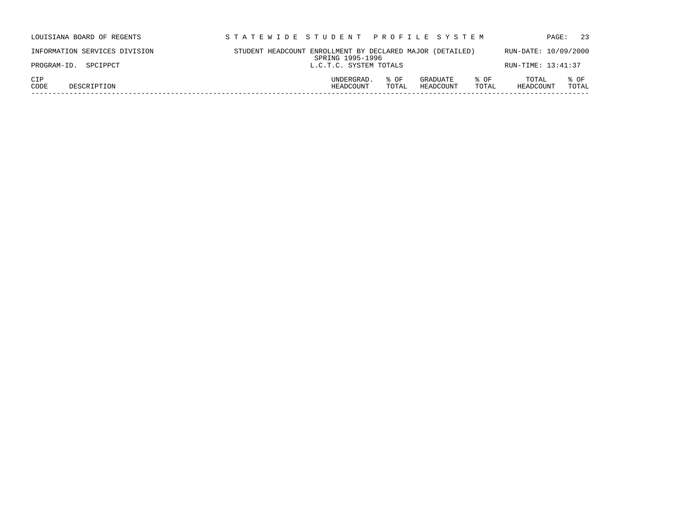| LOUISIANA BOARD OF REGENTS    | STATEWIDE STUDENT PROFILE SYSTEM                                                   | 23<br>PAGE:                         |
|-------------------------------|------------------------------------------------------------------------------------|-------------------------------------|
| INFORMATION SERVICES DIVISION | STUDENT HEADCOUNT ENROLLMENT BY DECLARED MAJOR (DETAILED)<br>SPRING 1995-1996      | RUN-DATE: 10/09/2000                |
| PROGRAM-ID. SPCIPPCT          | L.C.T.C. SYSTEM TOTALS                                                             | RUN-TIME: 13:41:37                  |
| CIP<br>CODE<br>DESCRIPTION    | UNDERGRAD.<br>% OF<br>GRADUATE<br>% OF<br>HEADCOUNT<br>HEADCOUNT<br>TOTAL<br>TOTAL | TOTAL<br>% OF<br>TOTAL<br>HEADCOUNT |